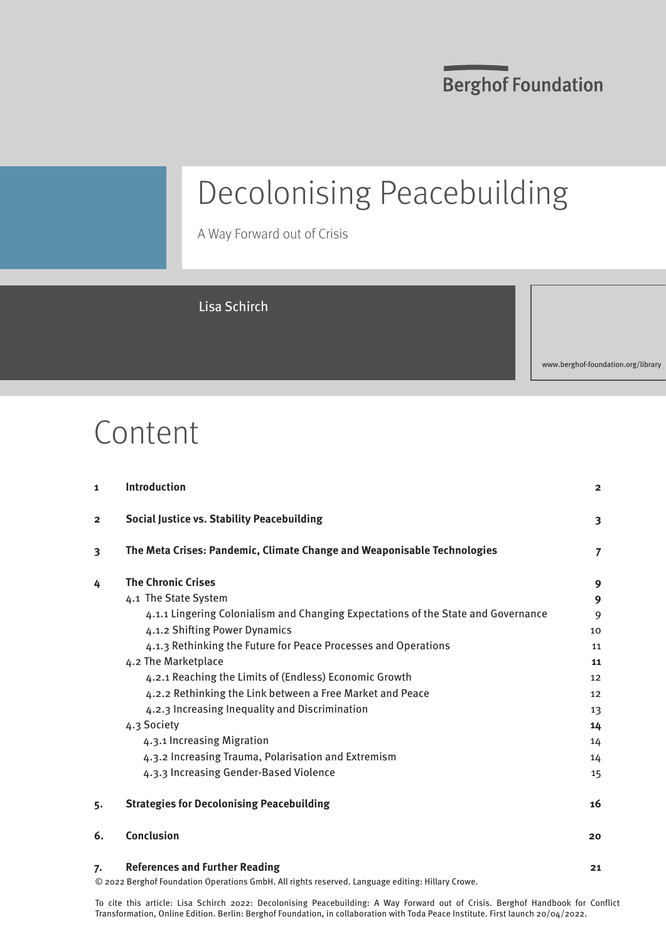**Berghof Foundation** 

# Decolonising Peacebuilding

A Way Forward out of Crisis

### Lisa Schirch

www.berghof-foundation.org/library

## Content

| 1                       | Introduction                                                                      | $\overline{2}$  |
|-------------------------|-----------------------------------------------------------------------------------|-----------------|
| $\overline{2}$          | <b>Social Justice vs. Stability Peacebuilding</b>                                 | 3               |
| $\overline{\mathbf{3}}$ | The Meta Crises: Pandemic, Climate Change and Weaponisable Technologies           | $\overline{7}$  |
| 4                       | <b>The Chronic Crises</b>                                                         | 9               |
|                         | 4.1 The State System                                                              | 9               |
|                         | 4.1.1 Lingering Colonialism and Changing Expectations of the State and Governance | 9               |
|                         | 4.1.2 Shifting Power Dynamics                                                     | 10              |
|                         | 4.1.3 Rethinking the Future for Peace Processes and Operations                    | 11              |
|                         | 4.2 The Marketplace                                                               | 11              |
|                         | 4.2.1 Reaching the Limits of (Endless) Economic Growth                            | 12 <sup>2</sup> |
|                         | 4.2.2 Rethinking the Link between a Free Market and Peace                         | 12              |
|                         | 4.2.3 Increasing Inequality and Discrimination                                    | 13              |
|                         | 4.3 Society                                                                       | 14              |
|                         | 4.3.1 Increasing Migration                                                        | 14              |
|                         | 4.3.2 Increasing Trauma, Polarisation and Extremism                               | 14              |
|                         | 4.3.3 Increasing Gender-Based Violence                                            | 15              |
| 5.                      | <b>Strategies for Decolonising Peacebuilding</b>                                  | 16              |
| 6.                      | <b>Conclusion</b>                                                                 | 20              |
| 7.                      | <b>References and Further Reading</b>                                             | 21              |

© 2022 Berghof Foundation Operations GmbH. All rights reserved. Language editing: Hillary Crowe.

To cite this article: Lisa Schirch 2022: Decolonising Peacebuilding: A Way Forward out of Crisis. Berghof Handbook for Conflict Transformation, Online Edition. Berlin: Berghof Foundation, in collaboration with Toda Peace Institute. First launch 20/04/2022.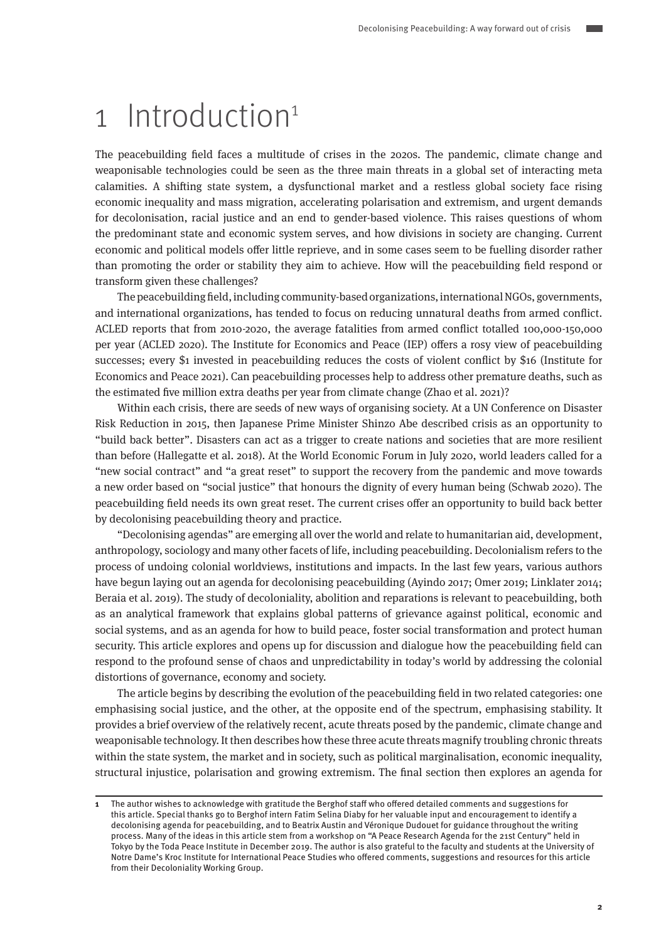## 1 Introduction<sup>1</sup>

The peacebuilding field faces a multitude of crises in the 2020s. The pandemic, climate change and weaponisable technologies could be seen as the three main threats in a global set of interacting meta calamities. A shifting state system, a dysfunctional market and a restless global society face rising economic inequality and mass migration, accelerating polarisation and extremism, and urgent demands for decolonisation, racial justice and an end to gender-based violence. This raises questions of whom the predominant state and economic system serves, and how divisions in society are changing. Current economic and political models offer little reprieve, and in some cases seem to be fuelling disorder rather than promoting the order or stability they aim to achieve. How will the peacebuilding field respond or transform given these challenges?

The peacebuilding field, including community-based organizations, international NGOs, governments, and international organizations, has tended to focus on reducing unnatural deaths from armed conflict. ACLED reports that from 2010-2020, the average fatalities from armed conflict totalled 100,000-150,000 per year (ACLED 2020). The Institute for Economics and Peace (IEP) offers a rosy view of peacebuilding successes; every \$1 invested in peacebuilding reduces the costs of violent conflict by \$16 (Institute for Economics and Peace 2021). Can peacebuilding processes help to address other premature deaths, such as the estimated five million extra deaths per year from climate change (Zhao et al. 2021)?

Within each crisis, there are seeds of new ways of organising society. At a UN Conference on Disaster Risk Reduction in 2015, then Japanese Prime Minister Shinzo Abe described crisis as an opportunity to "build back better". Disasters can act as a trigger to create nations and societies that are more resilient than before (Hallegatte et al. 2018). At the World Economic Forum in July 2020, world leaders called for a "new social contract" and "a great reset" to support the recovery from the pandemic and move towards a new order based on "social justice" that honours the dignity of every human being (Schwab 2020). The peacebuilding field needs its own great reset. The current crises offer an opportunity to build back better by decolonising peacebuilding theory and practice.

"Decolonising agendas" are emerging all over the world and relate to humanitarian aid, development, anthropology, sociology and many other facets of life, including peacebuilding. Decolonialism refers to the process of undoing colonial worldviews, institutions and impacts. In the last few years, various authors have begun laying out an agenda for decolonising peacebuilding (Ayindo 2017; Omer 2019; Linklater 2014; Beraia et al. 2019). The study of decoloniality, abolition and reparations is relevant to peacebuilding, both as an analytical framework that explains global patterns of grievance against political, economic and social systems, and as an agenda for how to build peace, foster social transformation and protect human security. This article explores and opens up for discussion and dialogue how the peacebuilding field can respond to the profound sense of chaos and unpredictability in today's world by addressing the colonial distortions of governance, economy and society.

The article begins by describing the evolution of the peacebuilding field in two related categories: one emphasising social justice, and the other, at the opposite end of the spectrum, emphasising stability. It provides a brief overview of the relatively recent, acute threats posed by the pandemic, climate change and weaponisable technology. It then describes how these three acute threats magnify troubling chronic threats within the state system, the market and in society, such as political marginalisation, economic inequality, structural injustice, polarisation and growing extremism. The final section then explores an agenda for

**<sup>1</sup>** The author wishes to acknowledge with gratitude the Berghof staff who offered detailed comments and suggestions for this article. Special thanks go to Berghof intern Fatim Selina Diaby for her valuable input and encouragement to identify a decolonising agenda for peacebuilding, and to Beatrix Austin and Véronique Dudouet for guidance throughout the writing process. Many of the ideas in this article stem from a workshop on "A Peace Research Agenda for the 21st Century" held in Tokyo by the Toda Peace Institute in December 2019. The author is also grateful to the faculty and students at the University of Notre Dame's Kroc Institute for International Peace Studies who offered comments, suggestions and resources for this article from their Decoloniality Working Group.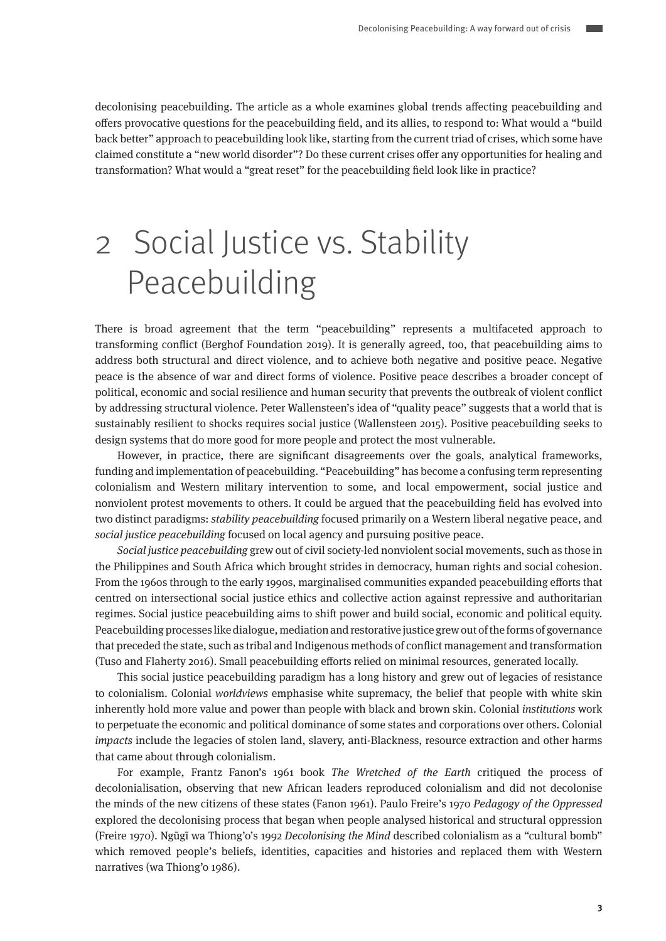decolonising peacebuilding. The article as a whole examines global trends affecting peacebuilding and offers provocative questions for the peacebuilding field, and its allies, to respond to: What would a "build back better" approach to peacebuilding look like, starting from the current triad of crises, which some have claimed constitute a "new world disorder"? Do these current crises offer any opportunities for healing and transformation? What would a "great reset" for the peacebuilding field look like in practice?

# 2 Social Justice vs. Stability Peacebuilding

There is broad agreement that the term "peacebuilding" represents a multifaceted approach to transforming conflict (Berghof Foundation 2019). It is generally agreed, too, that peacebuilding aims to address both structural and direct violence, and to achieve both negative and positive peace. Negative peace is the absence of war and direct forms of violence. Positive peace describes a broader concept of political, economic and social resilience and human security that prevents the outbreak of violent conflict by addressing structural violence. Peter Wallensteen's idea of "quality peace" suggests that a world that is sustainably resilient to shocks requires social justice (Wallensteen 2015). Positive peacebuilding seeks to design systems that do more good for more people and protect the most vulnerable.

However, in practice, there are significant disagreements over the goals, analytical frameworks, funding and implementation of peacebuilding. "Peacebuilding" has become a confusing term representing colonialism and Western military intervention to some, and local empowerment, social justice and nonviolent protest movements to others. It could be argued that the peacebuilding field has evolved into two distinct paradigms: stability peacebuilding focused primarily on a Western liberal negative peace, and social justice peacebuilding focused on local agency and pursuing positive peace.

Social justice peacebuilding grew out of civil society-led nonviolent social movements, such as those in the Philippines and South Africa which brought strides in democracy, human rights and social cohesion. From the 1960s through to the early 1990s, marginalised communities expanded peacebuilding efforts that centred on intersectional social justice ethics and collective action against repressive and authoritarian regimes. Social justice peacebuilding aims to shift power and build social, economic and political equity. Peacebuilding processes like dialogue, mediation and restorative justice grew out of the forms of governance that preceded the state, such as tribal and Indigenous methods of conflict management and transformation (Tuso and Flaherty 2016). Small peacebuilding efforts relied on minimal resources, generated locally.

This social justice peacebuilding paradigm has a long history and grew out of legacies of resistance to colonialism. Colonial worldviews emphasise white supremacy, the belief that people with white skin inherently hold more value and power than people with black and brown skin. Colonial institutions work to perpetuate the economic and political dominance of some states and corporations over others. Colonial impacts include the legacies of stolen land, slavery, anti-Blackness, resource extraction and other harms that came about through colonialism.

For example, Frantz Fanon's 1961 book The Wretched of the Earth critiqued the process of decolonialisation, observing that new African leaders reproduced colonialism and did not decolonise the minds of the new citizens of these states (Fanon 1961). Paulo Freire's 1970 Pedagogy of the Oppressed explored the decolonising process that began when people analysed historical and structural oppression (Freire 1970). Ngũgĩ wa Thiong'o's 1992 Decolonising the Mind described colonialism as a "cultural bomb" which removed people's beliefs, identities, capacities and histories and replaced them with Western narratives (wa Thiong'o 1986).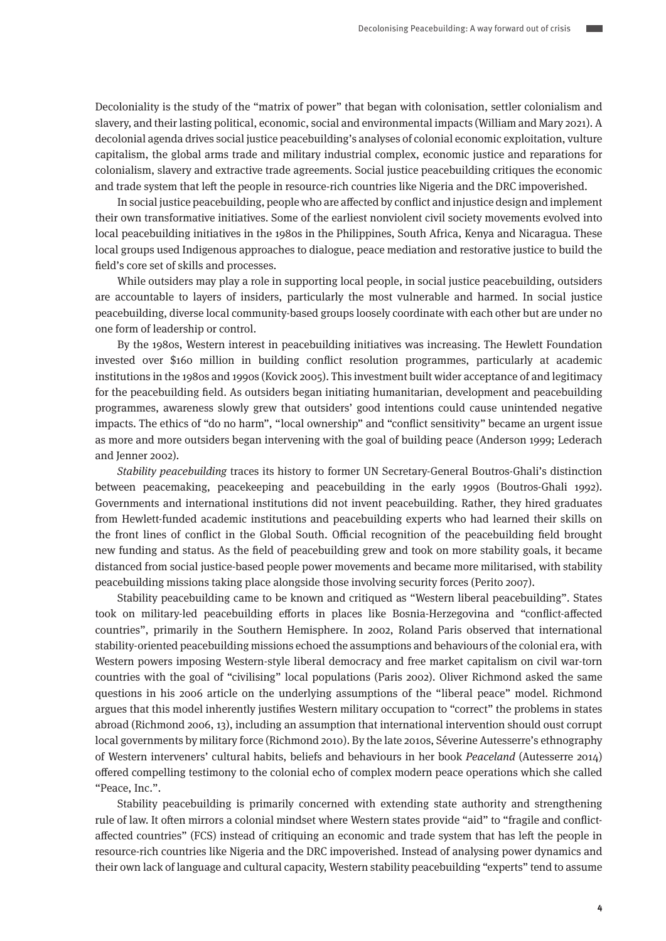Decoloniality is the study of the "matrix of power" that began with colonisation, settler colonialism and slavery, and their lasting political, economic, social and environmental impacts (William and Mary 2021). A decolonial agenda drives social justice peacebuilding's analyses of colonial economic exploitation, vulture capitalism, the global arms trade and military industrial complex, economic justice and reparations for colonialism, slavery and extractive trade agreements. Social justice peacebuilding critiques the economic and trade system that left the people in resource-rich countries like Nigeria and the DRC impoverished.

In social justice peacebuilding, people who are affected by conflict and injustice design and implement their own transformative initiatives. Some of the earliest nonviolent civil society movements evolved into local peacebuilding initiatives in the 1980s in the Philippines, South Africa, Kenya and Nicaragua. These local groups used Indigenous approaches to dialogue, peace mediation and restorative justice to build the field's core set of skills and processes.

While outsiders may play a role in supporting local people, in social justice peacebuilding, outsiders are accountable to layers of insiders, particularly the most vulnerable and harmed. In social justice peacebuilding, diverse local community-based groups loosely coordinate with each other but are under no one form of leadership or control.

By the 1980s, Western interest in peacebuilding initiatives was increasing. The Hewlett Foundation invested over \$160 million in building conflict resolution programmes, particularly at academic institutions in the 1980s and 1990s (Kovick 2005). This investment built wider acceptance of and legitimacy for the peacebuilding field. As outsiders began initiating humanitarian, development and peacebuilding programmes, awareness slowly grew that outsiders' good intentions could cause unintended negative impacts. The ethics of "do no harm", "local ownership" and "conflict sensitivity" became an urgent issue as more and more outsiders began intervening with the goal of building peace (Anderson 1999; Lederach and Jenner 2002).

Stability peacebuilding traces its history to former UN Secretary-General Boutros-Ghali's distinction between peacemaking, peacekeeping and peacebuilding in the early 1990s (Boutros-Ghali 1992). Governments and international institutions did not invent peacebuilding. Rather, they hired graduates from Hewlett-funded academic institutions and peacebuilding experts who had learned their skills on the front lines of conflict in the Global South. Official recognition of the peacebuilding field brought new funding and status. As the field of peacebuilding grew and took on more stability goals, it became distanced from social justice-based people power movements and became more militarised, with stability peacebuilding missions taking place alongside those involving security forces (Perito 2007).

Stability peacebuilding came to be known and critiqued as "Western liberal peacebuilding". States took on military-led peacebuilding efforts in places like Bosnia-Herzegovina and "conflict-affected countries", primarily in the Southern Hemisphere. In 2002, Roland Paris observed that international stability-oriented peacebuilding missions echoed the assumptions and behaviours of the colonial era, with Western powers imposing Western-style liberal democracy and free market capitalism on civil war-torn countries with the goal of "civilising" local populations (Paris 2002). Oliver Richmond asked the same questions in his 2006 article on the underlying assumptions of the "liberal peace" model. Richmond argues that this model inherently justifies Western military occupation to "correct" the problems in states abroad (Richmond 2006, 13), including an assumption that international intervention should oust corrupt local governments by military force (Richmond 2010). By the late 2010s, Séverine Autesserre's ethnography of Western interveners' cultural habits, beliefs and behaviours in her book Peaceland (Autesserre 2014) offered compelling testimony to the colonial echo of complex modern peace operations which she called "Peace, Inc.".

Stability peacebuilding is primarily concerned with extending state authority and strengthening rule of law. It often mirrors a colonial mindset where Western states provide "aid" to "fragile and conflictaffected countries" (FCS) instead of critiquing an economic and trade system that has left the people in resource-rich countries like Nigeria and the DRC impoverished. Instead of analysing power dynamics and their own lack of language and cultural capacity, Western stability peacebuilding "experts" tend to assume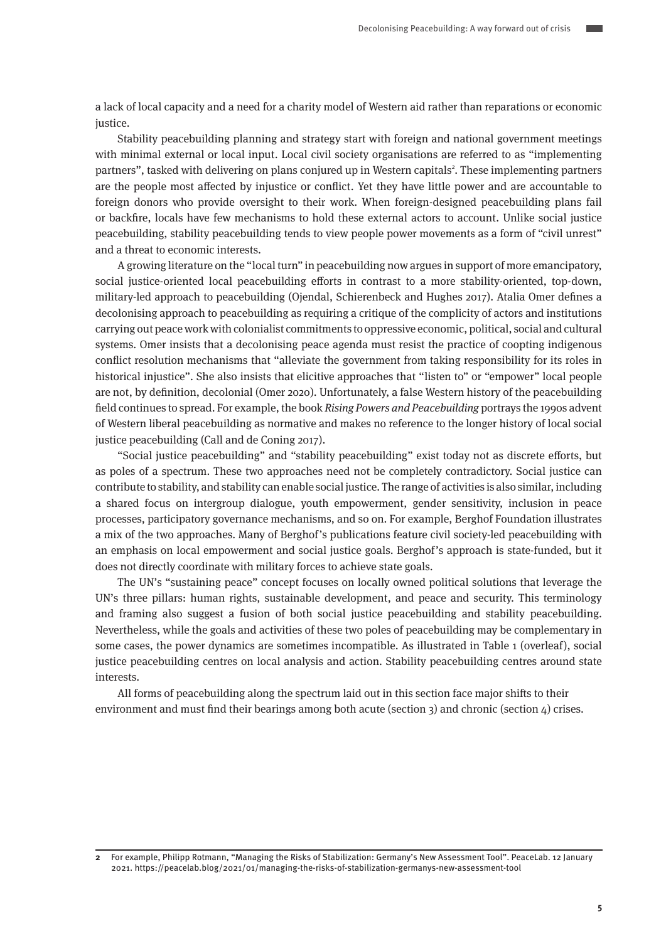a lack of local capacity and a need for a charity model of Western aid rather than reparations or economic justice.

Stability peacebuilding planning and strategy start with foreign and national government meetings with minimal external or local input. Local civil society organisations are referred to as "implementing partners", tasked with delivering on plans conjured up in Western capitals<sup>2</sup>. These implementing partners are the people most affected by injustice or conflict. Yet they have little power and are accountable to foreign donors who provide oversight to their work. When foreign-designed peacebuilding plans fail or backfire, locals have few mechanisms to hold these external actors to account. Unlike social justice peacebuilding, stability peacebuilding tends to view people power movements as a form of "civil unrest" and a threat to economic interests.

A growing literature on the "local turn" in peacebuilding now argues in support of more emancipatory, social justice-oriented local peacebuilding efforts in contrast to a more stability-oriented, top-down, military-led approach to peacebuilding (Ojendal, Schierenbeck and Hughes 2017). Atalia Omer defines a decolonising approach to peacebuilding as requiring a critique of the complicity of actors and institutions carrying out peace work with colonialist commitments to oppressive economic, political, social and cultural systems. Omer insists that a decolonising peace agenda must resist the practice of coopting indigenous conflict resolution mechanisms that "alleviate the government from taking responsibility for its roles in historical injustice". She also insists that elicitive approaches that "listen to" or "empower" local people are not, by definition, decolonial (Omer 2020). Unfortunately, a false Western history of the peacebuilding field continues to spread. For example, the book Rising Powers and Peacebuilding portrays the 1990s advent of Western liberal peacebuilding as normative and makes no reference to the longer history of local social justice peacebuilding (Call and de Coning 2017).

"Social justice peacebuilding" and "stability peacebuilding" exist today not as discrete efforts, but as poles of a spectrum. These two approaches need not be completely contradictory. Social justice can contribute to stability, and stability can enable social justice. The range of activities is also similar, including a shared focus on intergroup dialogue, youth empowerment, gender sensitivity, inclusion in peace processes, participatory governance mechanisms, and so on. For example, Berghof Foundation illustrates a mix of the two approaches. Many of Berghof's publications feature civil society-led peacebuilding with an emphasis on local empowerment and social justice goals. Berghof's approach is state-funded, but it does not directly coordinate with military forces to achieve state goals.

The UN's "sustaining peace" concept focuses on locally owned political solutions that leverage the UN's three pillars: human rights, sustainable development, and peace and security. This terminology and framing also suggest a fusion of both social justice peacebuilding and stability peacebuilding. Nevertheless, while the goals and activities of these two poles of peacebuilding may be complementary in some cases, the power dynamics are sometimes incompatible. As illustrated in Table 1 (overleaf), social justice peacebuilding centres on local analysis and action. Stability peacebuilding centres around state interests.

All forms of peacebuilding along the spectrum laid out in this section face major shifts to their environment and must find their bearings among both acute (section 3) and chronic (section 4) crises.

**<sup>2</sup>** For example, Philipp Rotmann, "Managing the Risks of Stabilization: Germany's New Assessment Tool". PeaceLab. 12 January 2021. https://peacelab.blog/2021/01/managing-the-risks-of-stabilization-germanys-new-assessment-tool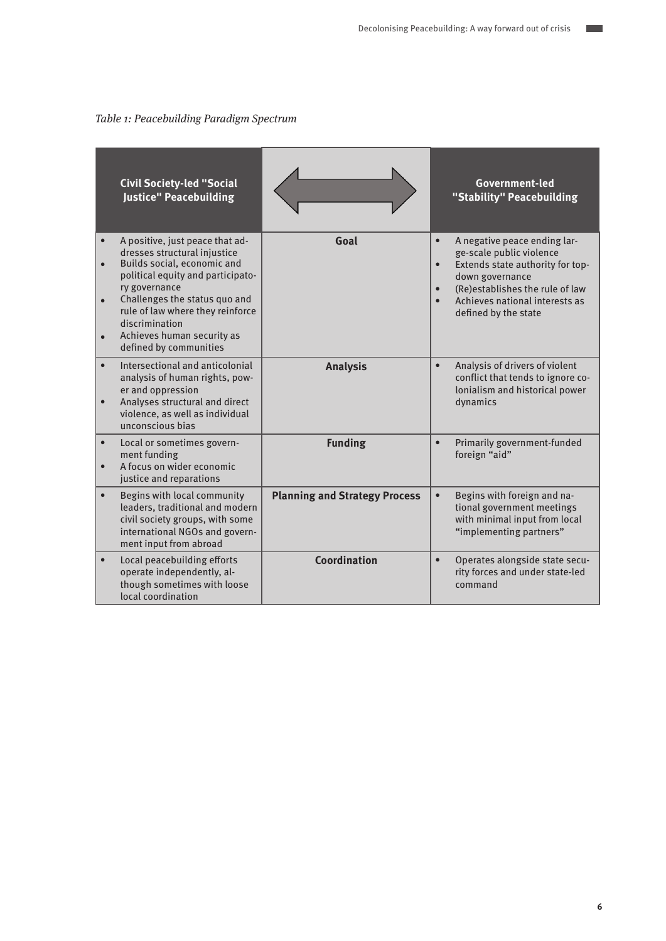$\mathcal{L}_{\mathcal{A}}$ 

Table 1: Peacebuilding Paradigm Spectrum

|                                                  | <b>Civil Society-led "Social</b><br><b>Justice" Peacebuilding</b>                                                                                                                                                                                                                                   |                                      |                                                  | Government-led<br>"Stability" Peacebuilding                                                                                                                                                                  |
|--------------------------------------------------|-----------------------------------------------------------------------------------------------------------------------------------------------------------------------------------------------------------------------------------------------------------------------------------------------------|--------------------------------------|--------------------------------------------------|--------------------------------------------------------------------------------------------------------------------------------------------------------------------------------------------------------------|
| $\bullet$<br>$\bullet$<br>$\bullet$<br>$\bullet$ | A positive, just peace that ad-<br>dresses structural injustice<br>Builds social, economic and<br>political equity and participato-<br>ry governance<br>Challenges the status quo and<br>rule of law where they reinforce<br>discrimination<br>Achieves human security as<br>defined by communities | Goal                                 | $\bullet$<br>$\bullet$<br>$\bullet$<br>$\bullet$ | A negative peace ending lar-<br>ge-scale public violence<br>Extends state authority for top-<br>down governance<br>(Re)establishes the rule of law<br>Achieves national interests as<br>defined by the state |
| $\bullet$<br>$\bullet$                           | Intersectional and anticolonial<br>analysis of human rights, pow-<br>er and oppression<br>Analyses structural and direct<br>violence, as well as individual<br>unconscious bias                                                                                                                     | <b>Analysis</b>                      | $\bullet$                                        | Analysis of drivers of violent<br>conflict that tends to ignore co-<br>lonialism and historical power<br>dynamics                                                                                            |
| $\bullet$                                        | Local or sometimes govern-<br>ment funding<br>A focus on wider economic<br>justice and reparations                                                                                                                                                                                                  | <b>Funding</b>                       | $\bullet$                                        | Primarily government-funded<br>foreign "aid"                                                                                                                                                                 |
| $\bullet$                                        | Begins with local community<br>leaders, traditional and modern<br>civil society groups, with some<br>international NGOs and govern-<br>ment input from abroad                                                                                                                                       | <b>Planning and Strategy Process</b> | $\bullet$                                        | Begins with foreign and na-<br>tional government meetings<br>with minimal input from local<br>"implementing partners"                                                                                        |
| $\bullet$                                        | Local peacebuilding efforts<br>operate independently, al-<br>though sometimes with loose<br>local coordination                                                                                                                                                                                      | Coordination                         | $\bullet$                                        | Operates alongside state secu-<br>rity forces and under state-led<br>command                                                                                                                                 |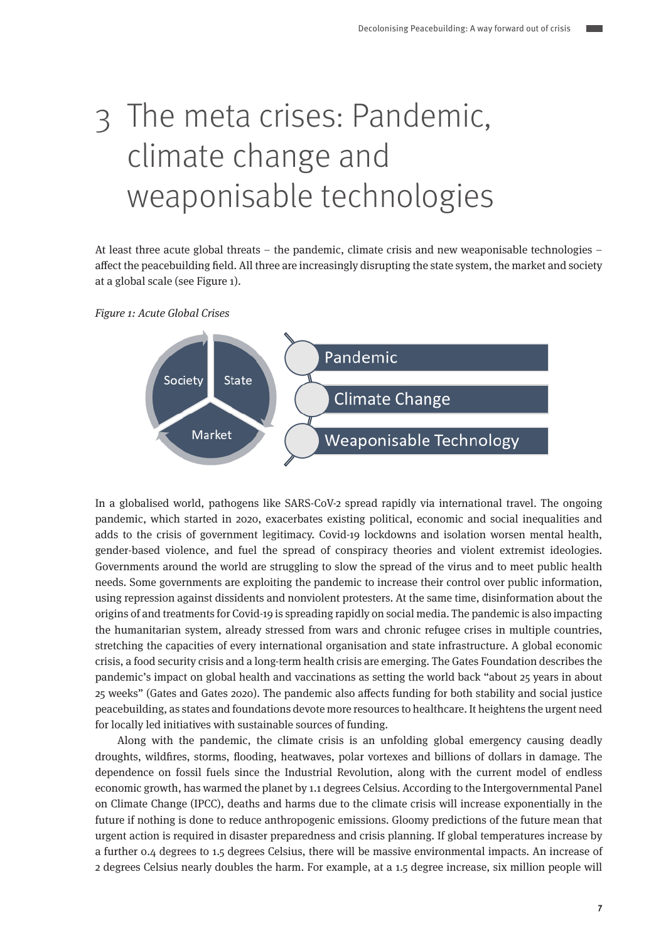# 3 The meta crises: Pandemic, climate change and weaponisable technologies

At least three acute global threats – the pandemic, climate crisis and new weaponisable technologies – affect the peacebuilding field. All three are increasingly disrupting the state system, the market and society at a global scale (see Figure 1).

Figure 1: Acute Global Crises



In a globalised world, pathogens like SARS-CoV-2 spread rapidly via international travel. The ongoing pandemic, which started in 2020, exacerbates existing political, economic and social inequalities and adds to the crisis of government legitimacy. Covid-19 lockdowns and isolation worsen mental health, gender-based violence, and fuel the spread of conspiracy theories and violent extremist ideologies. Governments around the world are struggling to slow the spread of the virus and to meet public health needs. Some governments are exploiting the pandemic to increase their control over public information, using repression against dissidents and nonviolent protesters. At the same time, disinformation about the origins of and treatments for Covid-19 is spreading rapidly on social media. The pandemic is also impacting the humanitarian system, already stressed from wars and chronic refugee crises in multiple countries, stretching the capacities of every international organisation and state infrastructure. A global economic crisis, a food security crisis and a long-term health crisis are emerging. The Gates Foundation describes the pandemic's impact on global health and vaccinations as setting the world back "about 25 years in about 25 weeks" (Gates and Gates 2020). The pandemic also affects funding for both stability and social justice peacebuilding, as states and foundations devote more resources to healthcare. It heightens the urgent need for locally led initiatives with sustainable sources of funding.

Along with the pandemic, the climate crisis is an unfolding global emergency causing deadly droughts, wildfires, storms, flooding, heatwaves, polar vortexes and billions of dollars in damage. The dependence on fossil fuels since the Industrial Revolution, along with the current model of endless economic growth, has warmed the planet by 1.1 degrees Celsius. According to the Intergovernmental Panel on Climate Change (IPCC), deaths and harms due to the climate crisis will increase exponentially in the future if nothing is done to reduce anthropogenic emissions. Gloomy predictions of the future mean that urgent action is required in disaster preparedness and crisis planning. If global temperatures increase by a further 0.4 degrees to 1.5 degrees Celsius, there will be massive environmental impacts. An increase of 2 degrees Celsius nearly doubles the harm. For example, at a 1.5 degree increase, six million people will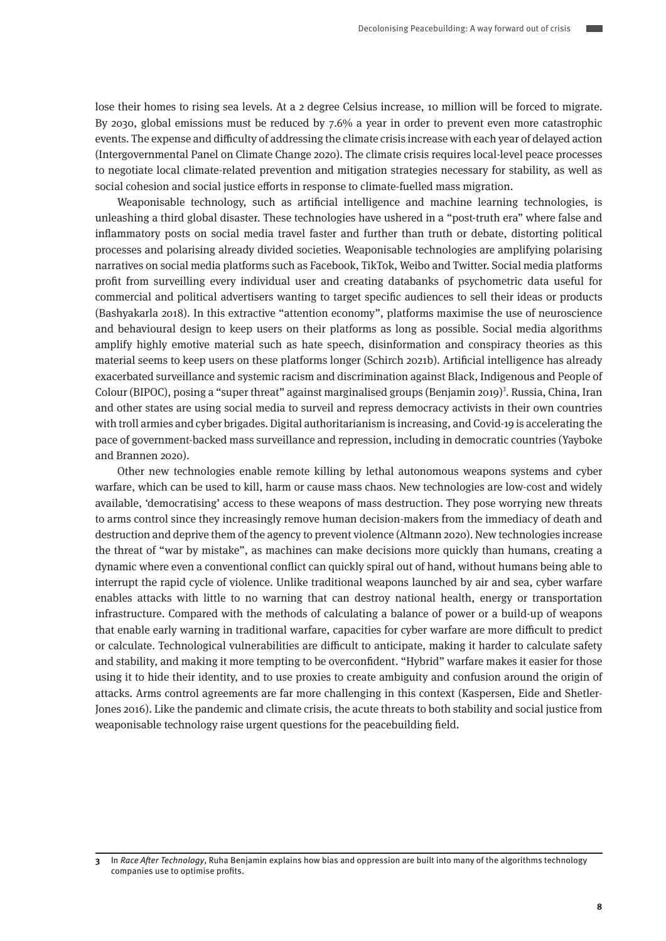lose their homes to rising sea levels. At a 2 degree Celsius increase, 10 million will be forced to migrate. By 2030, global emissions must be reduced by 7.6% a year in order to prevent even more catastrophic events. The expense and difficulty of addressing the climate crisis increase with each year of delayed action (Intergovernmental Panel on Climate Change 2020). The climate crisis requires local-level peace processes to negotiate local climate-related prevention and mitigation strategies necessary for stability, as well as social cohesion and social justice efforts in response to climate-fuelled mass migration.

Weaponisable technology, such as artificial intelligence and machine learning technologies, is unleashing a third global disaster. These technologies have ushered in a "post-truth era" where false and inflammatory posts on social media travel faster and further than truth or debate, distorting political processes and polarising already divided societies. Weaponisable technologies are amplifying polarising narratives on social media platforms such as Facebook, TikTok, Weibo and Twitter. Social media platforms profit from surveilling every individual user and creating databanks of psychometric data useful for commercial and political advertisers wanting to target specific audiences to sell their ideas or products (Bashyakarla 2018). In this extractive "attention economy", platforms maximise the use of neuroscience and behavioural design to keep users on their platforms as long as possible. Social media algorithms amplify highly emotive material such as hate speech, disinformation and conspiracy theories as this material seems to keep users on these platforms longer (Schirch 2021b). Artificial intelligence has already exacerbated surveillance and systemic racism and discrimination against Black, Indigenous and People of Colour (BIPOC), posing a "super threat" against marginalised groups (Benjamin 2019)<sup>3</sup>. Russia, China, Iran and other states are using social media to surveil and repress democracy activists in their own countries with troll armies and cyber brigades. Digital authoritarianism is increasing, and Covid-19 is accelerating the pace of government-backed mass surveillance and repression, including in democratic countries (Yayboke and Brannen 2020).

Other new technologies enable remote killing by lethal autonomous weapons systems and cyber warfare, which can be used to kill, harm or cause mass chaos. New technologies are low-cost and widely available, 'democratising' access to these weapons of mass destruction. They pose worrying new threats to arms control since they increasingly remove human decision-makers from the immediacy of death and destruction and deprive them of the agency to prevent violence (Altmann 2020). New technologies increase the threat of "war by mistake", as machines can make decisions more quickly than humans, creating a dynamic where even a conventional conflict can quickly spiral out of hand, without humans being able to interrupt the rapid cycle of violence. Unlike traditional weapons launched by air and sea, cyber warfare enables attacks with little to no warning that can destroy national health, energy or transportation infrastructure. Compared with the methods of calculating a balance of power or a build-up of weapons that enable early warning in traditional warfare, capacities for cyber warfare are more difficult to predict or calculate. Technological vulnerabilities are difficult to anticipate, making it harder to calculate safety and stability, and making it more tempting to be overconfident. "Hybrid" warfare makes it easier for those using it to hide their identity, and to use proxies to create ambiguity and confusion around the origin of attacks. Arms control agreements are far more challenging in this context (Kaspersen, Eide and Shetler-Jones 2016). Like the pandemic and climate crisis, the acute threats to both stability and social justice from weaponisable technology raise urgent questions for the peacebuilding field.

**<sup>3</sup>** In Race After Technology, Ruha Benjamin explains how bias and oppression are built into many of the algorithms technology companies use to optimise profits.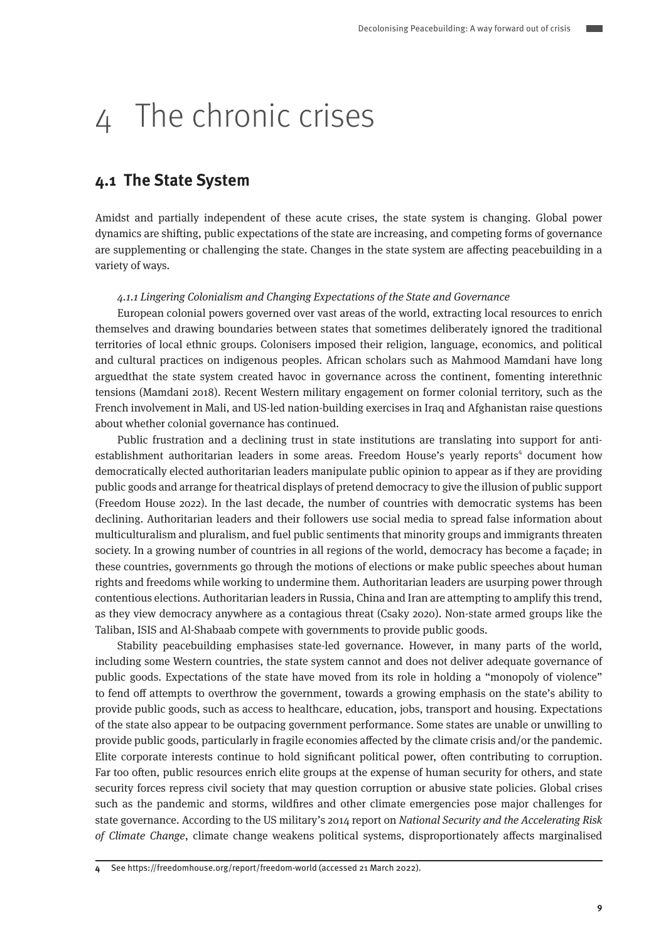## 4 The chronic crises

### **4.1 The State System**

Amidst and partially independent of these acute crises, the state system is changing. Global power dynamics are shifting, public expectations of the state are increasing, and competing forms of governance are supplementing or challenging the state. Changes in the state system are affecting peacebuilding in a variety of ways.

#### 4.1.1 Lingering Colonialism and Changing Expectations of the State and Governance

European colonial powers governed over vast areas of the world, extracting local resources to enrich themselves and drawing boundaries between states that sometimes deliberately ignored the traditional territories of local ethnic groups. Colonisers imposed their religion, language, economics, and political and cultural practices on indigenous peoples. African scholars such as Mahmood Mamdani have long arguedthat the state system created havoc in governance across the continent, fomenting interethnic tensions (Mamdani 2018). Recent Western military engagement on former colonial territory, such as the French involvement in Mali, and US-led nation-building exercises in Iraq and Afghanistan raise questions about whether colonial governance has continued.

Public frustration and a declining trust in state institutions are translating into support for antiestablishment authoritarian leaders in some areas. Freedom House's yearly reports<sup>4</sup> document how democratically elected authoritarian leaders manipulate public opinion to appear as if they are providing public goods and arrange for theatrical displays of pretend democracy to give the illusion of public support (Freedom House 2022). In the last decade, the number of countries with democratic systems has been declining. Authoritarian leaders and their followers use social media to spread false information about multiculturalism and pluralism, and fuel public sentiments that minority groups and immigrants threaten society. In a growing number of countries in all regions of the world, democracy has become a façade; in these countries, governments go through the motions of elections or make public speeches about human rights and freedoms while working to undermine them. Authoritarian leaders are usurping power through contentious elections. Authoritarian leaders in Russia, China and Iran are attempting to amplify this trend, as they view democracy anywhere as a contagious threat (Csaky 2020). Non-state armed groups like the Taliban, ISIS and Al-Shabaab compete with governments to provide public goods.

Stability peacebuilding emphasises state-led governance. However, in many parts of the world, including some Western countries, the state system cannot and does not deliver adequate governance of public goods. Expectations of the state have moved from its role in holding a "monopoly of violence" to fend off attempts to overthrow the government, towards a growing emphasis on the state's ability to provide public goods, such as access to healthcare, education, jobs, transport and housing. Expectations of the state also appear to be outpacing government performance. Some states are unable or unwilling to provide public goods, particularly in fragile economies affected by the climate crisis and/or the pandemic. Elite corporate interests continue to hold significant political power, often contributing to corruption. Far too often, public resources enrich elite groups at the expense of human security for others, and state security forces repress civil society that may question corruption or abusive state policies. Global crises such as the pandemic and storms, wildfires and other climate emergencies pose major challenges for state governance. According to the US military's 2014 report on National Security and the Accelerating Risk of Climate Change, climate change weakens political systems, disproportionately affects marginalised

**4** See https://freedomhouse.org/report/freedom-world (accessed 21 March 2022).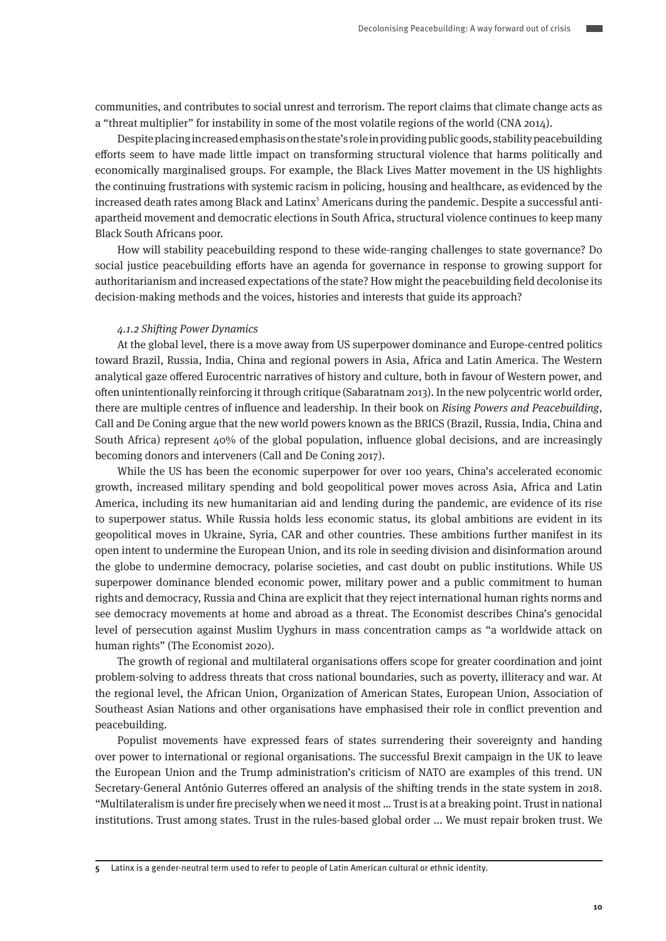communities, and contributes to social unrest and terrorism. The report claims that climate change acts as a "threat multiplier" for instability in some of the most volatile regions of the world (CNA 2014).

Despite placing increased emphasis on the state's role in providing public goods, stability peacebuilding efforts seem to have made little impact on transforming structural violence that harms politically and economically marginalised groups. For example, the Black Lives Matter movement in the US highlights the continuing frustrations with systemic racism in policing, housing and healthcare, as evidenced by the increased death rates among Black and Latinx<sup>5</sup> Americans during the pandemic. Despite a successful antiapartheid movement and democratic elections in South Africa, structural violence continues to keep many Black South Africans poor.

How will stability peacebuilding respond to these wide-ranging challenges to state governance? Do social justice peacebuilding efforts have an agenda for governance in response to growing support for authoritarianism and increased expectations of the state? How might the peacebuilding field decolonise its decision-making methods and the voices, histories and interests that guide its approach?

#### 4.1.2 Shifting Power Dynamics

At the global level, there is a move away from US superpower dominance and Europe-centred politics toward Brazil, Russia, India, China and regional powers in Asia, Africa and Latin America. The Western analytical gaze offered Eurocentric narratives of history and culture, both in favour of Western power, and often unintentionally reinforcing it through critique (Sabaratnam 2013). In the new polycentric world order, there are multiple centres of influence and leadership. In their book on Rising Powers and Peacebuilding, Call and De Coning argue that the new world powers known as the BRICS (Brazil, Russia, India, China and South Africa) represent 40% of the global population, influence global decisions, and are increasingly becoming donors and interveners (Call and De Coning 2017).

While the US has been the economic superpower for over 100 years, China's accelerated economic growth, increased military spending and bold geopolitical power moves across Asia, Africa and Latin America, including its new humanitarian aid and lending during the pandemic, are evidence of its rise to superpower status. While Russia holds less economic status, its global ambitions are evident in its geopolitical moves in Ukraine, Syria, CAR and other countries. These ambitions further manifest in its open intent to undermine the European Union, and its role in seeding division and disinformation around the globe to undermine democracy, polarise societies, and cast doubt on public institutions. While US superpower dominance blended economic power, military power and a public commitment to human rights and democracy, Russia and China are explicit that they reject international human rights norms and see democracy movements at home and abroad as a threat. The Economist describes China's genocidal level of persecution against Muslim Uyghurs in mass concentration camps as "a worldwide attack on human rights" (The Economist 2020).

The growth of regional and multilateral organisations offers scope for greater coordination and joint problem-solving to address threats that cross national boundaries, such as poverty, illiteracy and war. At the regional level, the African Union, Organization of American States, European Union, Association of Southeast Asian Nations and other organisations have emphasised their role in conflict prevention and peacebuilding.

Populist movements have expressed fears of states surrendering their sovereignty and handing over power to international or regional organisations. The successful Brexit campaign in the UK to leave the European Union and the Trump administration's criticism of NATO are examples of this trend. UN Secretary-General António Guterres offered an analysis of the shifting trends in the state system in 2018. "Multilateralism is under fire precisely when we need it most … Trust is at a breaking point. Trust in national institutions. Trust among states. Trust in the rules-based global order ... We must repair broken trust. We

**5** Latinx is a gender-neutral term used to refer to people of Latin American cultural or ethnic identity.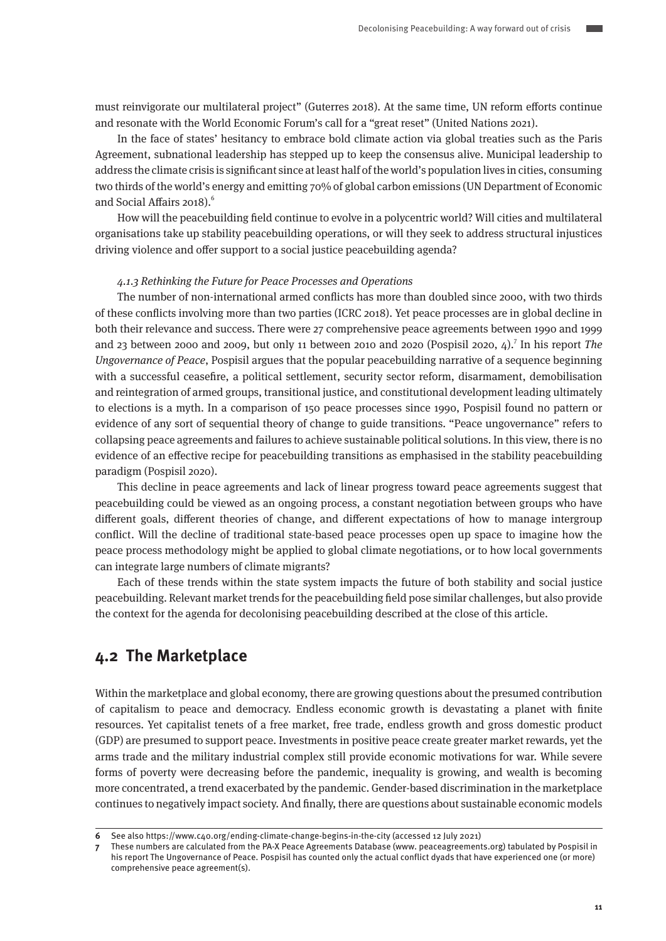must reinvigorate our multilateral project" (Guterres 2018). At the same time, UN reform efforts continue and resonate with the World Economic Forum's call for a "great reset" (United Nations 2021).

In the face of states' hesitancy to embrace bold climate action via global treaties such as the Paris Agreement, subnational leadership has stepped up to keep the consensus alive. Municipal leadership to address the climate crisis is significant since at least half of the world's population lives in cities, consuming two thirds of the world's energy and emitting 70% of global carbon emissions (UN Department of Economic and Social Affairs 2018).<sup>6</sup>

How will the peacebuilding field continue to evolve in a polycentric world? Will cities and multilateral organisations take up stability peacebuilding operations, or will they seek to address structural injustices driving violence and offer support to a social justice peacebuilding agenda?

#### 4.1.3 Rethinking the Future for Peace Processes and Operations

The number of non-international armed conflicts has more than doubled since 2000, with two thirds of these conflicts involving more than two parties (ICRC 2018). Yet peace processes are in global decline in both their relevance and success. There were 27 comprehensive peace agreements between 1990 and 1999 and 23 between 2000 and 2009, but only 11 between 2010 and 2020 (Pospisil 2020,  $4$ ).<sup>7</sup> In his report The Ungovernance of Peace, Pospisil argues that the popular peacebuilding narrative of a sequence beginning with a successful ceasefire, a political settlement, security sector reform, disarmament, demobilisation and reintegration of armed groups, transitional justice, and constitutional development leading ultimately to elections is a myth. In a comparison of 150 peace processes since 1990, Pospisil found no pattern or evidence of any sort of sequential theory of change to guide transitions. "Peace ungovernance" refers to collapsing peace agreements and failures to achieve sustainable political solutions. In this view, there is no evidence of an effective recipe for peacebuilding transitions as emphasised in the stability peacebuilding paradigm (Pospisil 2020).

This decline in peace agreements and lack of linear progress toward peace agreements suggest that peacebuilding could be viewed as an ongoing process, a constant negotiation between groups who have different goals, different theories of change, and different expectations of how to manage intergroup conflict. Will the decline of traditional state-based peace processes open up space to imagine how the peace process methodology might be applied to global climate negotiations, or to how local governments can integrate large numbers of climate migrants?

Each of these trends within the state system impacts the future of both stability and social justice peacebuilding. Relevant market trends for the peacebuilding field pose similar challenges, but also provide the context for the agenda for decolonising peacebuilding described at the close of this article.

### **4.2 The Marketplace**

Within the marketplace and global economy, there are growing questions about the presumed contribution of capitalism to peace and democracy. Endless economic growth is devastating a planet with finite resources. Yet capitalist tenets of a free market, free trade, endless growth and gross domestic product (GDP) are presumed to support peace. Investments in positive peace create greater market rewards, yet the arms trade and the military industrial complex still provide economic motivations for war. While severe forms of poverty were decreasing before the pandemic, inequality is growing, and wealth is becoming more concentrated, a trend exacerbated by the pandemic. Gender-based discrimination in the marketplace continues to negatively impact society. And finally, there are questions about sustainable economic models

**<sup>6</sup>** See also https://www.c40.org/ending-climate-change-begins-in-the-city (accessed 12 July 2021)

**<sup>7</sup>** These numbers are calculated from the PA-X Peace Agreements Database (www. peaceagreements.org) tabulated by Pospisil in his report The Ungovernance of Peace. Pospisil has counted only the actual conflict dyads that have experienced one (or more) comprehensive peace agreement(s).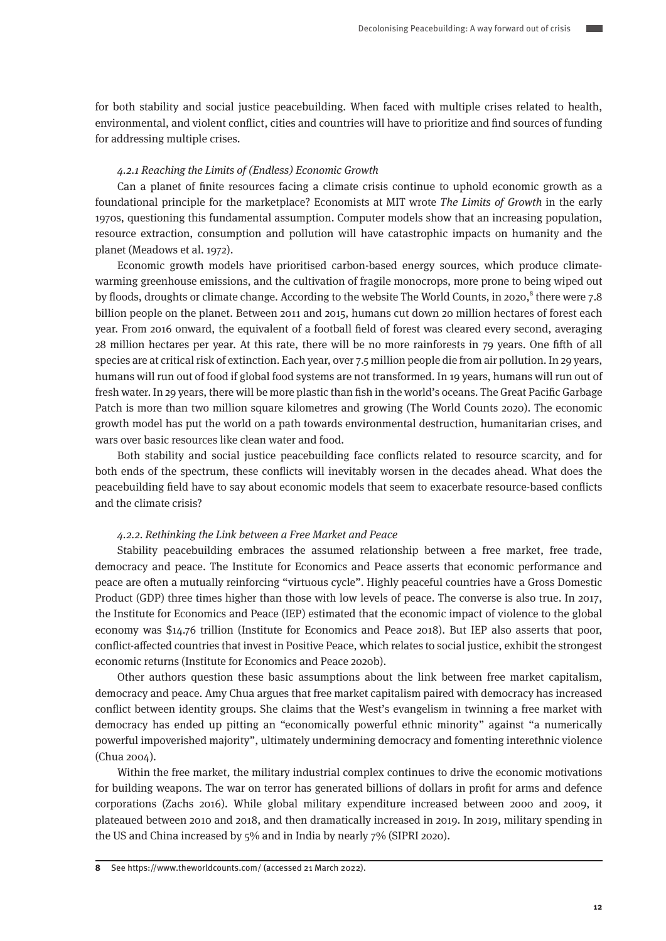for both stability and social justice peacebuilding. When faced with multiple crises related to health, environmental, and violent conflict, cities and countries will have to prioritize and find sources of funding for addressing multiple crises.

#### 4.2.1 Reaching the Limits of (Endless) Economic Growth

Can a planet of finite resources facing a climate crisis continue to uphold economic growth as a foundational principle for the marketplace? Economists at MIT wrote The Limits of Growth in the early 1970s, questioning this fundamental assumption. Computer models show that an increasing population, resource extraction, consumption and pollution will have catastrophic impacts on humanity and the planet (Meadows et al. 1972).

Economic growth models have prioritised carbon-based energy sources, which produce climatewarming greenhouse emissions, and the cultivation of fragile monocrops, more prone to being wiped out by floods, droughts or climate change. According to the website The World Counts, in 2020,<sup>8</sup> there were 7.8 billion people on the planet. Between 2011 and 2015, humans cut down 20 million hectares of forest each year. From 2016 onward, the equivalent of a football field of forest was cleared every second, averaging 28 million hectares per year. At this rate, there will be no more rainforests in 79 years. One fifth of all species are at critical risk of extinction. Each year, over 7.5 million people die from air pollution. In 29 years, humans will run out of food if global food systems are not transformed. In 19 years, humans will run out of fresh water. In 29 years, there will be more plastic than fish in the world's oceans. The Great Pacific Garbage Patch is more than two million square kilometres and growing (The World Counts 2020). The economic growth model has put the world on a path towards environmental destruction, humanitarian crises, and wars over basic resources like clean water and food.

Both stability and social justice peacebuilding face conflicts related to resource scarcity, and for both ends of the spectrum, these conflicts will inevitably worsen in the decades ahead. What does the peacebuilding field have to say about economic models that seem to exacerbate resource-based conflicts and the climate crisis?

#### 4.2.2. Rethinking the Link between a Free Market and Peace

Stability peacebuilding embraces the assumed relationship between a free market, free trade, democracy and peace. The Institute for Economics and Peace asserts that economic performance and peace are often a mutually reinforcing "virtuous cycle". Highly peaceful countries have a Gross Domestic Product (GDP) three times higher than those with low levels of peace. The converse is also true. In 2017, the Institute for Economics and Peace (IEP) estimated that the economic impact of violence to the global economy was \$14.76 trillion (Institute for Economics and Peace 2018). But IEP also asserts that poor, conflict-affected countries that invest in Positive Peace, which relates to social justice, exhibit the strongest economic returns (Institute for Economics and Peace 2020b).

Other authors question these basic assumptions about the link between free market capitalism, democracy and peace. Amy Chua argues that free market capitalism paired with democracy has increased conflict between identity groups. She claims that the West's evangelism in twinning a free market with democracy has ended up pitting an "economically powerful ethnic minority" against "a numerically powerful impoverished majority", ultimately undermining democracy and fomenting interethnic violence (Chua 2004).

Within the free market, the military industrial complex continues to drive the economic motivations for building weapons. The war on terror has generated billions of dollars in profit for arms and defence corporations (Zachs 2016). While global military expenditure increased between 2000 and 2009, it plateaued between 2010 and 2018, and then dramatically increased in 2019. In 2019, military spending in the US and China increased by 5% and in India by nearly 7% (SIPRI 2020).

**<sup>8</sup>** See https://www.theworldcounts.com/ (accessed 21 March 2022).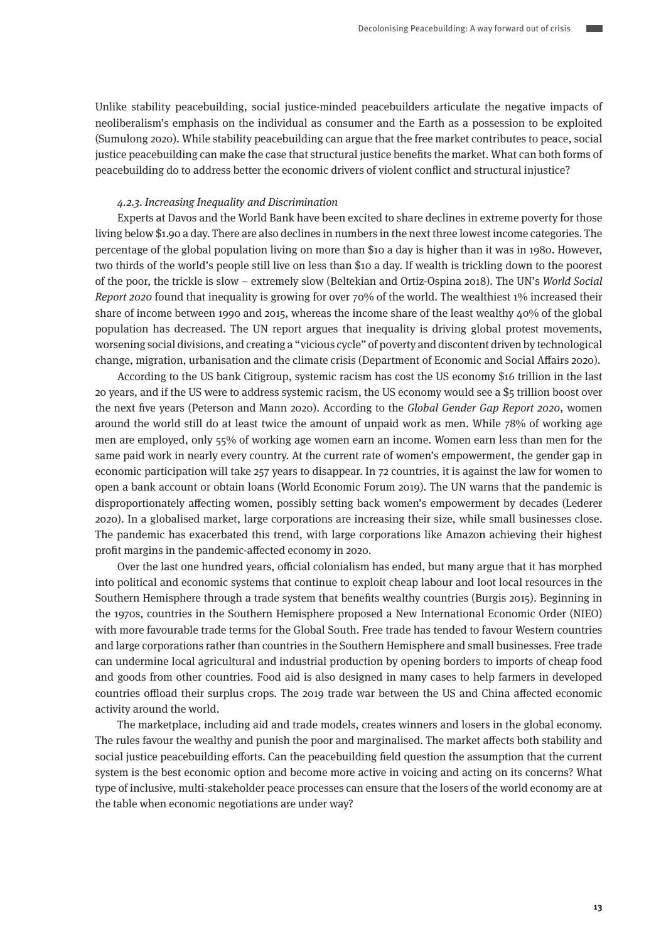Unlike stability peacebuilding, social justice-minded peacebuilders articulate the negative impacts of neoliberalism's emphasis on the individual as consumer and the Earth as a possession to be exploited (Sumulong 2020). While stability peacebuilding can argue that the free market contributes to peace, social justice peacebuilding can make the case that structural justice benefits the market. What can both forms of peacebuilding do to address better the economic drivers of violent conflict and structural injustice?

#### 4.2.3. Increasing Inequality and Discrimination

Experts at Davos and the World Bank have been excited to share declines in extreme poverty for those living below \$1.90 a day. There are also declines in numbers in the next three lowest income categories. The percentage of the global population living on more than \$10 a day is higher than it was in 1980. However, two thirds of the world's people still live on less than \$10 a day. If wealth is trickling down to the poorest of the poor, the trickle is slow – extremely slow (Beltekian and Ortiz-Ospina 2018). The UN's World Social Report 2020 found that inequality is growing for over 70% of the world. The wealthiest 1% increased their share of income between 1990 and 2015, whereas the income share of the least wealthy 40% of the global population has decreased. The UN report argues that inequality is driving global protest movements, worsening social divisions, and creating a "vicious cycle" of poverty and discontent driven by technological change, migration, urbanisation and the climate crisis (Department of Economic and Social Affairs 2020).

According to the US bank Citigroup, systemic racism has cost the US economy \$16 trillion in the last 20 years, and if the US were to address systemic racism, the US economy would see a \$5 trillion boost over the next five years (Peterson and Mann 2020). According to the Global Gender Gap Report 2020, women around the world still do at least twice the amount of unpaid work as men. While 78% of working age men are employed, only 55% of working age women earn an income. Women earn less than men for the same paid work in nearly every country. At the current rate of women's empowerment, the gender gap in economic participation will take 257 years to disappear. In 72 countries, it is against the law for women to open a bank account or obtain loans (World Economic Forum 2019). The UN warns that the pandemic is disproportionately affecting women, possibly setting back women's empowerment by decades (Lederer 2020). In a globalised market, large corporations are increasing their size, while small businesses close. The pandemic has exacerbated this trend, with large corporations like Amazon achieving their highest profit margins in the pandemic-affected economy in 2020.

Over the last one hundred years, official colonialism has ended, but many argue that it has morphed into political and economic systems that continue to exploit cheap labour and loot local resources in the Southern Hemisphere through a trade system that benefits wealthy countries (Burgis 2015). Beginning in the 1970s, countries in the Southern Hemisphere proposed a New International Economic Order (NIEO) with more favourable trade terms for the Global South. Free trade has tended to favour Western countries and large corporations rather than countries in the Southern Hemisphere and small businesses. Free trade can undermine local agricultural and industrial production by opening borders to imports of cheap food and goods from other countries. Food aid is also designed in many cases to help farmers in developed countries offload their surplus crops. The 2019 trade war between the US and China affected economic activity around the world.

The marketplace, including aid and trade models, creates winners and losers in the global economy. The rules favour the wealthy and punish the poor and marginalised. The market affects both stability and social justice peacebuilding efforts. Can the peacebuilding field question the assumption that the current system is the best economic option and become more active in voicing and acting on its concerns? What type of inclusive, multi-stakeholder peace processes can ensure that the losers of the world economy are at the table when economic negotiations are under way?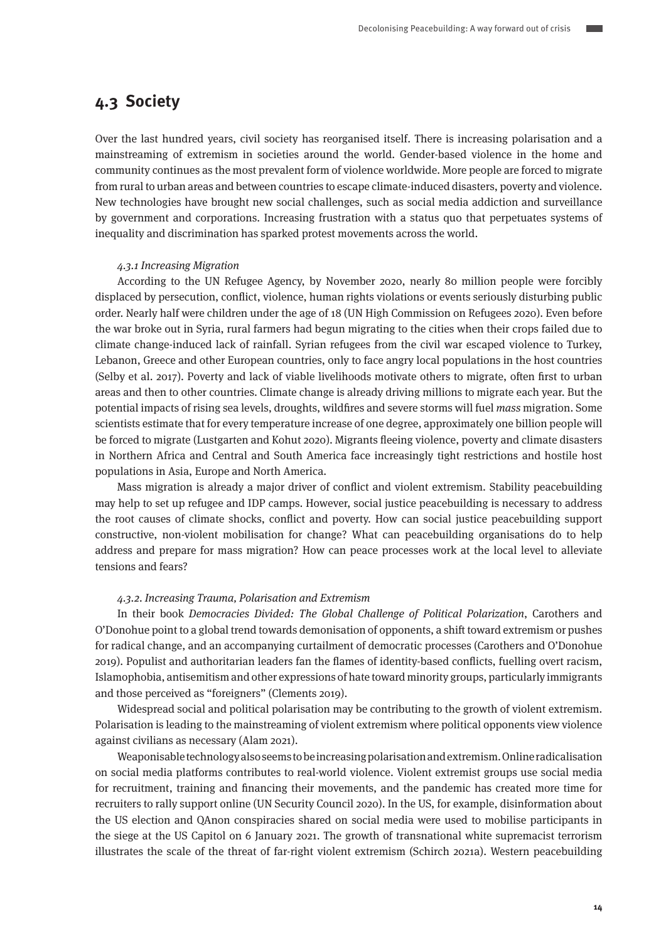### **4.3 Society**

Over the last hundred years, civil society has reorganised itself. There is increasing polarisation and a mainstreaming of extremism in societies around the world. Gender-based violence in the home and community continues as the most prevalent form of violence worldwide. More people are forced to migrate from rural to urban areas and between countries to escape climate-induced disasters, poverty and violence. New technologies have brought new social challenges, such as social media addiction and surveillance by government and corporations. Increasing frustration with a status quo that perpetuates systems of inequality and discrimination has sparked protest movements across the world.

#### 4.3.1 Increasing Migration

According to the UN Refugee Agency, by November 2020, nearly 80 million people were forcibly displaced by persecution, conflict, violence, human rights violations or events seriously disturbing public order. Nearly half were children under the age of 18 (UN High Commission on Refugees 2020). Even before the war broke out in Syria, rural farmers had begun migrating to the cities when their crops failed due to climate change-induced lack of rainfall. Syrian refugees from the civil war escaped violence to Turkey, Lebanon, Greece and other European countries, only to face angry local populations in the host countries (Selby et al. 2017). Poverty and lack of viable livelihoods motivate others to migrate, often first to urban areas and then to other countries. Climate change is already driving millions to migrate each year. But the potential impacts of rising sea levels, droughts, wildfires and severe storms will fuel mass migration. Some scientists estimate that for every temperature increase of one degree, approximately one billion people will be forced to migrate (Lustgarten and Kohut 2020). Migrants fleeing violence, poverty and climate disasters in Northern Africa and Central and South America face increasingly tight restrictions and hostile host populations in Asia, Europe and North America.

Mass migration is already a major driver of conflict and violent extremism. Stability peacebuilding may help to set up refugee and IDP camps. However, social justice peacebuilding is necessary to address the root causes of climate shocks, conflict and poverty. How can social justice peacebuilding support constructive, non-violent mobilisation for change? What can peacebuilding organisations do to help address and prepare for mass migration? How can peace processes work at the local level to alleviate tensions and fears?

#### 4.3.2. Increasing Trauma, Polarisation and Extremism

In their book Democracies Divided: The Global Challenge of Political Polarization, Carothers and O'Donohue point to a global trend towards demonisation of opponents, a shift toward extremism or pushes for radical change, and an accompanying curtailment of democratic processes (Carothers and O'Donohue 2019). Populist and authoritarian leaders fan the flames of identity-based conflicts, fuelling overt racism, Islamophobia, antisemitism and other expressions of hate toward minority groups, particularly immigrants and those perceived as "foreigners" (Clements 2019).

Widespread social and political polarisation may be contributing to the growth of violent extremism. Polarisation is leading to the mainstreaming of violent extremism where political opponents view violence against civilians as necessary (Alam 2021).

Weaponisable technology also seems to be increasing polarisation and extremism. Online radicalisation on social media platforms contributes to real-world violence. Violent extremist groups use social media for recruitment, training and financing their movements, and the pandemic has created more time for recruiters to rally support online (UN Security Council 2020). In the US, for example, disinformation about the US election and QAnon conspiracies shared on social media were used to mobilise participants in the siege at the US Capitol on 6 January 2021. The growth of transnational white supremacist terrorism illustrates the scale of the threat of far-right violent extremism (Schirch 2021a). Western peacebuilding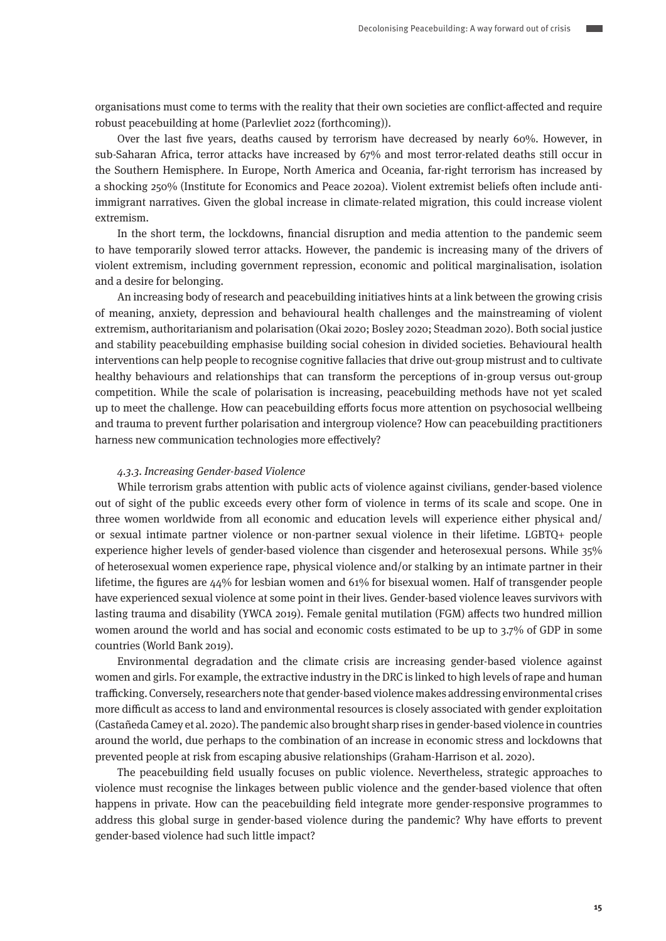organisations must come to terms with the reality that their own societies are conflict-affected and require robust peacebuilding at home (Parlevliet 2022 (forthcoming)).

Over the last five years, deaths caused by terrorism have decreased by nearly 60%. However, in sub-Saharan Africa, terror attacks have increased by 67% and most terror-related deaths still occur in the Southern Hemisphere. In Europe, North America and Oceania, far-right terrorism has increased by a shocking 250% (Institute for Economics and Peace 2020a). Violent extremist beliefs often include antiimmigrant narratives. Given the global increase in climate-related migration, this could increase violent extremism.

In the short term, the lockdowns, financial disruption and media attention to the pandemic seem to have temporarily slowed terror attacks. However, the pandemic is increasing many of the drivers of violent extremism, including government repression, economic and political marginalisation, isolation and a desire for belonging.

An increasing body of research and peacebuilding initiatives hints at a link between the growing crisis of meaning, anxiety, depression and behavioural health challenges and the mainstreaming of violent extremism, authoritarianism and polarisation (Okai 2020; Bosley 2020; Steadman 2020). Both social justice and stability peacebuilding emphasise building social cohesion in divided societies. Behavioural health interventions can help people to recognise cognitive fallacies that drive out-group mistrust and to cultivate healthy behaviours and relationships that can transform the perceptions of in-group versus out-group competition. While the scale of polarisation is increasing, peacebuilding methods have not yet scaled up to meet the challenge. How can peacebuilding efforts focus more attention on psychosocial wellbeing and trauma to prevent further polarisation and intergroup violence? How can peacebuilding practitioners harness new communication technologies more effectively?

#### 4.3.3. Increasing Gender-based Violence

While terrorism grabs attention with public acts of violence against civilians, gender-based violence out of sight of the public exceeds every other form of violence in terms of its scale and scope. One in three women worldwide from all economic and education levels will experience either physical and/ or sexual intimate partner violence or non-partner sexual violence in their lifetime. LGBTQ+ people experience higher levels of gender-based violence than cisgender and heterosexual persons. While 35% of heterosexual women experience rape, physical violence and/or stalking by an intimate partner in their lifetime, the figures are 44% for lesbian women and 61% for bisexual women. Half of transgender people have experienced sexual violence at some point in their lives. Gender-based violence leaves survivors with lasting trauma and disability (YWCA 2019). Female genital mutilation (FGM) affects two hundred million women around the world and has social and economic costs estimated to be up to 3.7% of GDP in some countries (World Bank 2019).

Environmental degradation and the climate crisis are increasing gender-based violence against women and girls. For example, the extractive industry in the DRC is linked to high levels of rape and human trafficking. Conversely, researchers note that gender-based violence makes addressing environmental crises more difficult as access to land and environmental resources is closely associated with gender exploitation (Castañeda Camey et al. 2020). The pandemic also brought sharp rises in gender-based violence in countries around the world, due perhaps to the combination of an increase in economic stress and lockdowns that prevented people at risk from escaping abusive relationships (Graham-Harrison et al. 2020).

The peacebuilding field usually focuses on public violence. Nevertheless, strategic approaches to violence must recognise the linkages between public violence and the gender-based violence that often happens in private. How can the peacebuilding field integrate more gender-responsive programmes to address this global surge in gender-based violence during the pandemic? Why have efforts to prevent gender-based violence had such little impact?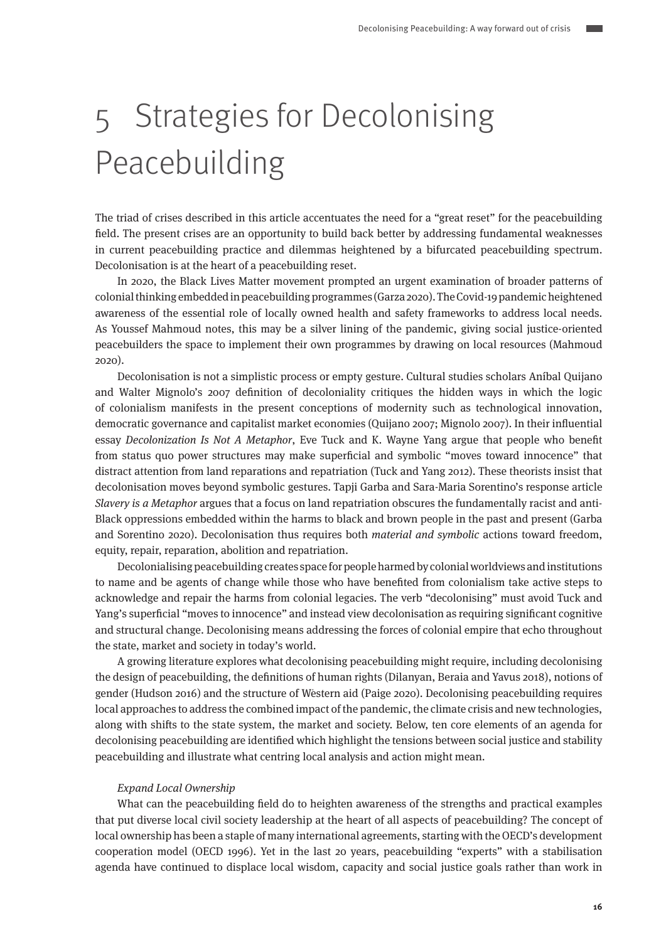# 5 Strategies for Decolonising Peacebuilding

The triad of crises described in this article accentuates the need for a "great reset" for the peacebuilding field. The present crises are an opportunity to build back better by addressing fundamental weaknesses in current peacebuilding practice and dilemmas heightened by a bifurcated peacebuilding spectrum. Decolonisation is at the heart of a peacebuilding reset.

In 2020, the Black Lives Matter movement prompted an urgent examination of broader patterns of colonial thinking embedded in peacebuilding programmes (Garza 2020). The Covid-19 pandemic heightened awareness of the essential role of locally owned health and safety frameworks to address local needs. As Youssef Mahmoud notes, this may be a silver lining of the pandemic, giving social justice-oriented peacebuilders the space to implement their own programmes by drawing on local resources (Mahmoud 2020).

Decolonisation is not a simplistic process or empty gesture. Cultural studies scholars Aníbal Quijano and Walter Mignolo's 2007 definition of decoloniality critiques the hidden ways in which the logic of colonialism manifests in the present conceptions of modernity such as technological innovation, democratic governance and capitalist market economies (Quijano 2007; Mignolo 2007). In their influential essay Decolonization Is Not A Metaphor, Eve Tuck and K. Wayne Yang argue that people who benefit from status quo power structures may make superficial and symbolic "moves toward innocence" that distract attention from land reparations and repatriation (Tuck and Yang 2012). These theorists insist that decolonisation moves beyond symbolic gestures. Tapji Garba and Sara-Maria Sorentino's response article Slavery is a Metaphor argues that a focus on land repatriation obscures the fundamentally racist and anti-Black oppressions embedded within the harms to black and brown people in the past and present (Garba and Sorentino 2020). Decolonisation thus requires both material and symbolic actions toward freedom, equity, repair, reparation, abolition and repatriation.

Decolonialising peacebuilding creates space for people harmed by colonial worldviews and institutions to name and be agents of change while those who have benefited from colonialism take active steps to acknowledge and repair the harms from colonial legacies. The verb "decolonising" must avoid Tuck and Yang's superficial "moves to innocence" and instead view decolonisation as requiring significant cognitive and structural change. Decolonising means addressing the forces of colonial empire that echo throughout the state, market and society in today's world.

A growing literature explores what decolonising peacebuilding might require, including decolonising the design of peacebuilding, the definitions of human rights (Dilanyan, Beraia and Yavus 2018), notions of gender (Hudson 2016) and the structure of Western aid (Paige 2020). Decolonising peacebuilding requires local approaches to address the combined impact of the pandemic, the climate crisis and new technologies, along with shifts to the state system, the market and society. Below, ten core elements of an agenda for decolonising peacebuilding are identified which highlight the tensions between social justice and stability peacebuilding and illustrate what centring local analysis and action might mean.

#### Expand Local Ownership

What can the peacebuilding field do to heighten awareness of the strengths and practical examples that put diverse local civil society leadership at the heart of all aspects of peacebuilding? The concept of local ownership has been a staple of many international agreements, starting with the OECD's development cooperation model (OECD 1996). Yet in the last 20 years, peacebuilding "experts" with a stabilisation agenda have continued to displace local wisdom, capacity and social justice goals rather than work in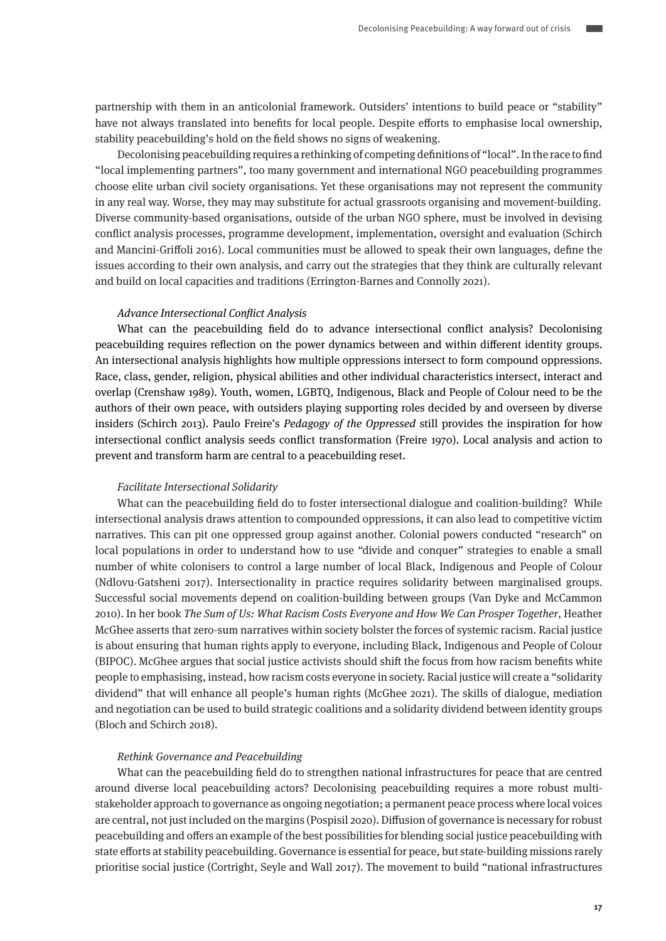partnership with them in an anticolonial framework. Outsiders' intentions to build peace or "stability" have not always translated into benefits for local people. Despite efforts to emphasise local ownership, stability peacebuilding's hold on the field shows no signs of weakening.

Decolonising peacebuilding requires a rethinking of competing definitions of "local". In the race to find "local implementing partners", too many government and international NGO peacebuilding programmes choose elite urban civil society organisations. Yet these organisations may not represent the community in any real way. Worse, they may may substitute for actual grassroots organising and movement-building. Diverse community-based organisations, outside of the urban NGO sphere, must be involved in devising conflict analysis processes, programme development, implementation, oversight and evaluation (Schirch and Mancini-Griffoli 2016). Local communities must be allowed to speak their own languages, define the issues according to their own analysis, and carry out the strategies that they think are culturally relevant and build on local capacities and traditions (Errington-Barnes and Connolly 2021).

#### Advance Intersectional Conflict Analysis

What can the peacebuilding field do to advance intersectional conflict analysis? Decolonising peacebuilding requires reflection on the power dynamics between and within different identity groups. An intersectional analysis highlights how multiple oppressions intersect to form compound oppressions. Race, class, gender, religion, physical abilities and other individual characteristics intersect, interact and overlap (Crenshaw 1989). Youth, women, LGBTQ, Indigenous, Black and People of Colour need to be the authors of their own peace, with outsiders playing supporting roles decided by and overseen by diverse insiders (Schirch 2013). Paulo Freire's Pedagogy of the Oppressed still provides the inspiration for how intersectional conflict analysis seeds conflict transformation (Freire 1970). Local analysis and action to prevent and transform harm are central to a peacebuilding reset.

#### Facilitate Intersectional Solidarity

What can the peacebuilding field do to foster intersectional dialogue and coalition-building? While intersectional analysis draws attention to compounded oppressions, it can also lead to competitive victim narratives. This can pit one oppressed group against another. Colonial powers conducted "research" on local populations in order to understand how to use "divide and conquer" strategies to enable a small number of white colonisers to control a large number of local Black, Indigenous and People of Colour (Ndlovu-Gatsheni 2017). Intersectionality in practice requires solidarity between marginalised groups. Successful social movements depend on coalition-building between groups (Van Dyke and McCammon 2010). In her book The Sum of Us: What Racism Costs Everyone and How We Can Prosper Together, Heather McGhee asserts that zero-sum narratives within society bolster the forces of systemic racism. Racial justice is about ensuring that human rights apply to everyone, including Black, Indigenous and People of Colour (BIPOC). McGhee argues that social justice activists should shift the focus from how racism benefits white people to emphasising, instead, how racism costs everyone in society. Racial justice will create a "solidarity dividend" that will enhance all people's human rights (McGhee 2021). The skills of dialogue, mediation and negotiation can be used to build strategic coalitions and a solidarity dividend between identity groups (Bloch and Schirch 2018).

#### Rethink Governance and Peacebuilding

What can the peacebuilding field do to strengthen national infrastructures for peace that are centred around diverse local peacebuilding actors? Decolonising peacebuilding requires a more robust multistakeholder approach to governance as ongoing negotiation; a permanent peace process where local voices are central, not just included on the margins (Pospisil 2020). Diffusion of governance is necessary for robust peacebuilding and offers an example of the best possibilities for blending social justice peacebuilding with state efforts at stability peacebuilding. Governance is essential for peace, but state-building missions rarely prioritise social justice (Cortright, Seyle and Wall 2017). The movement to build "national infrastructures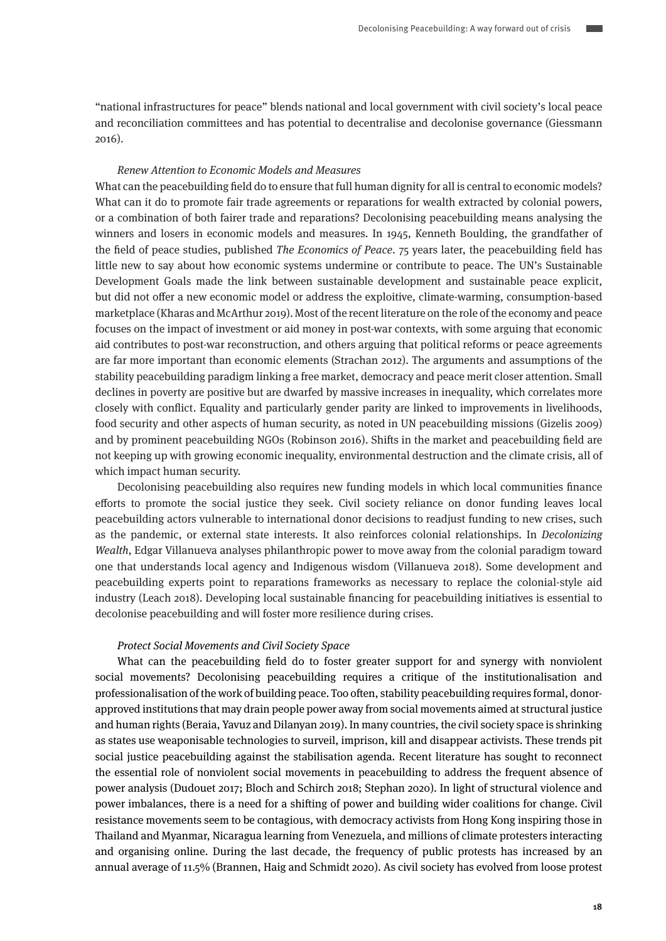"national infrastructures for peace" blends national and local government with civil society's local peace and reconciliation committees and has potential to decentralise and decolonise governance (Giessmann 2016).

#### Renew Attention to Economic Models and Measures

What can the peacebuilding field do to ensure that full human dignity for all is central to economic models? What can it do to promote fair trade agreements or reparations for wealth extracted by colonial powers, or a combination of both fairer trade and reparations? Decolonising peacebuilding means analysing the winners and losers in economic models and measures. In 1945, Kenneth Boulding, the grandfather of the field of peace studies, published The Economics of Peace. 75 years later, the peacebuilding field has little new to say about how economic systems undermine or contribute to peace. The UN's Sustainable Development Goals made the link between sustainable development and sustainable peace explicit, but did not offer a new economic model or address the exploitive, climate-warming, consumption-based marketplace (Kharas and McArthur 2019). Most of the recent literature on the role of the economy and peace focuses on the impact of investment or aid money in post-war contexts, with some arguing that economic aid contributes to post-war reconstruction, and others arguing that political reforms or peace agreements are far more important than economic elements (Strachan 2012). The arguments and assumptions of the stability peacebuilding paradigm linking a free market, democracy and peace merit closer attention. Small declines in poverty are positive but are dwarfed by massive increases in inequality, which correlates more closely with conflict. Equality and particularly gender parity are linked to improvements in livelihoods, food security and other aspects of human security, as noted in UN peacebuilding missions (Gizelis 2009) and by prominent peacebuilding NGOs (Robinson 2016). Shifts in the market and peacebuilding field are not keeping up with growing economic inequality, environmental destruction and the climate crisis, all of which impact human security.

Decolonising peacebuilding also requires new funding models in which local communities finance efforts to promote the social justice they seek. Civil society reliance on donor funding leaves local peacebuilding actors vulnerable to international donor decisions to readjust funding to new crises, such as the pandemic, or external state interests. It also reinforces colonial relationships. In Decolonizing Wealth, Edgar Villanueva analyses philanthropic power to move away from the colonial paradigm toward one that understands local agency and Indigenous wisdom (Villanueva 2018). Some development and peacebuilding experts point to reparations frameworks as necessary to replace the colonial-style aid industry (Leach 2018). Developing local sustainable financing for peacebuilding initiatives is essential to decolonise peacebuilding and will foster more resilience during crises.

#### Protect Social Movements and Civil Society Space

What can the peacebuilding field do to foster greater support for and synergy with nonviolent social movements? Decolonising peacebuilding requires a critique of the institutionalisation and professionalisation of the work of building peace. Too often, stability peacebuilding requires formal, donorapproved institutions that may drain people power away from social movements aimed at structural justice and human rights (Beraia, Yavuz and Dilanyan 2019). In many countries, the civil society space is shrinking as states use weaponisable technologies to surveil, imprison, kill and disappear activists. These trends pit social justice peacebuilding against the stabilisation agenda. Recent literature has sought to reconnect the essential role of nonviolent social movements in peacebuilding to address the frequent absence of power analysis (Dudouet 2017; Bloch and Schirch 2018; Stephan 2020). In light of structural violence and power imbalances, there is a need for a shifting of power and building wider coalitions for change. Civil resistance movements seem to be contagious, with democracy activists from Hong Kong inspiring those in Thailand and Myanmar, Nicaragua learning from Venezuela, and millions of climate protesters interacting and organising online. During the last decade, the frequency of public protests has increased by an annual average of 11.5% (Brannen, Haig and Schmidt 2020). As civil society has evolved from loose protest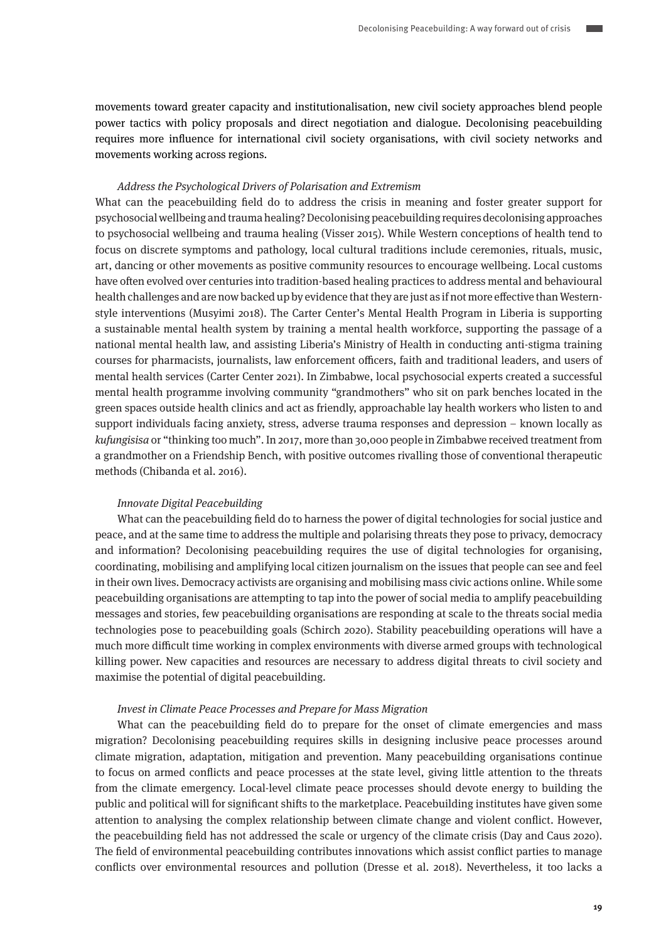movements toward greater capacity and institutionalisation, new civil society approaches blend people power tactics with policy proposals and direct negotiation and dialogue. Decolonising peacebuilding requires more influence for international civil society organisations, with civil society networks and movements working across regions.

#### Address the Psychological Drivers of Polarisation and Extremism

What can the peacebuilding field do to address the crisis in meaning and foster greater support for psychosocial wellbeing and trauma healing? Decolonising peacebuilding requires decolonising approaches to psychosocial wellbeing and trauma healing (Visser 2015). While Western conceptions of health tend to focus on discrete symptoms and pathology, local cultural traditions include ceremonies, rituals, music, art, dancing or other movements as positive community resources to encourage wellbeing. Local customs have often evolved over centuries into tradition-based healing practices to address mental and behavioural health challenges and are now backed up by evidence that they are just as if not more effective than Westernstyle interventions (Musyimi 2018). The Carter Center's Mental Health Program in Liberia is supporting a sustainable mental health system by training a mental health workforce, supporting the passage of a national mental health law, and assisting Liberia's Ministry of Health in conducting anti-stigma training courses for pharmacists, journalists, law enforcement officers, faith and traditional leaders, and users of mental health services (Carter Center 2021). In Zimbabwe, local psychosocial experts created a successful mental health programme involving community "grandmothers" who sit on park benches located in the green spaces outside health clinics and act as friendly, approachable lay health workers who listen to and support individuals facing anxiety, stress, adverse trauma responses and depression – known locally as kufungisisa or "thinking too much". In 2017, more than 30,000 people in Zimbabwe received treatment from a grandmother on a Friendship Bench, with positive outcomes rivalling those of conventional therapeutic methods (Chibanda et al. 2016).

#### Innovate Digital Peacebuilding

What can the peacebuilding field do to harness the power of digital technologies for social justice and peace, and at the same time to address the multiple and polarising threats they pose to privacy, democracy and information? Decolonising peacebuilding requires the use of digital technologies for organising, coordinating, mobilising and amplifying local citizen journalism on the issues that people can see and feel in their own lives. Democracy activists are organising and mobilising mass civic actions online. While some peacebuilding organisations are attempting to tap into the power of social media to amplify peacebuilding messages and stories, few peacebuilding organisations are responding at scale to the threats social media technologies pose to peacebuilding goals (Schirch 2020). Stability peacebuilding operations will have a much more difficult time working in complex environments with diverse armed groups with technological killing power. New capacities and resources are necessary to address digital threats to civil society and maximise the potential of digital peacebuilding.

#### Invest in Climate Peace Processes and Prepare for Mass Migration

What can the peacebuilding field do to prepare for the onset of climate emergencies and mass migration? Decolonising peacebuilding requires skills in designing inclusive peace processes around climate migration, adaptation, mitigation and prevention. Many peacebuilding organisations continue to focus on armed conflicts and peace processes at the state level, giving little attention to the threats from the climate emergency. Local-level climate peace processes should devote energy to building the public and political will for significant shifts to the marketplace. Peacebuilding institutes have given some attention to analysing the complex relationship between climate change and violent conflict. However, the peacebuilding field has not addressed the scale or urgency of the climate crisis (Day and Caus 2020). The field of environmental peacebuilding contributes innovations which assist conflict parties to manage conflicts over environmental resources and pollution (Dresse et al. 2018). Nevertheless, it too lacks a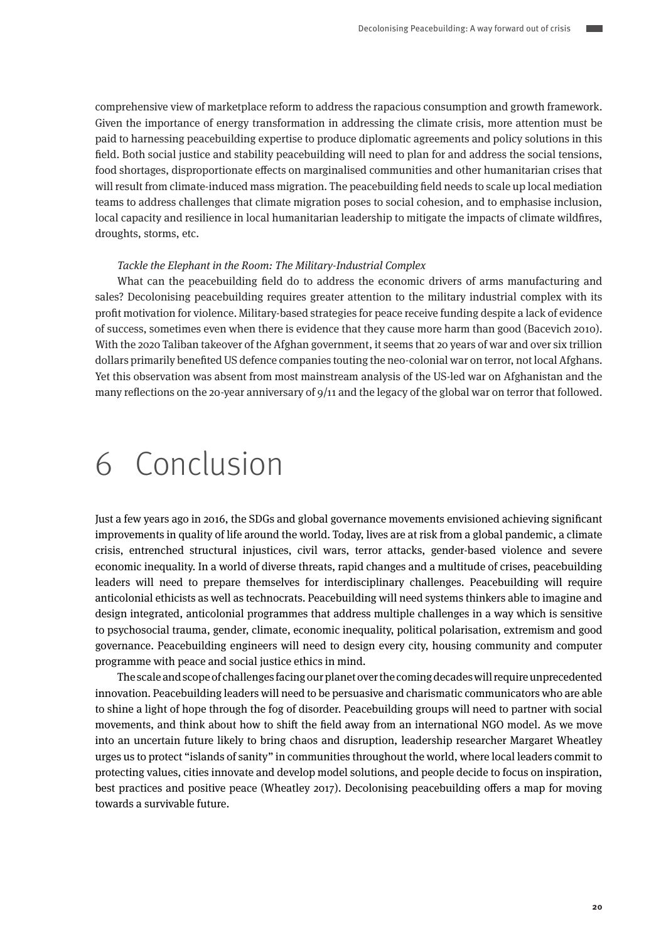comprehensive view of marketplace reform to address the rapacious consumption and growth framework. Given the importance of energy transformation in addressing the climate crisis, more attention must be paid to harnessing peacebuilding expertise to produce diplomatic agreements and policy solutions in this field. Both social justice and stability peacebuilding will need to plan for and address the social tensions, food shortages, disproportionate effects on marginalised communities and other humanitarian crises that will result from climate-induced mass migration. The peacebuilding field needs to scale up local mediation teams to address challenges that climate migration poses to social cohesion, and to emphasise inclusion, local capacity and resilience in local humanitarian leadership to mitigate the impacts of climate wildfires, droughts, storms, etc.

#### Tackle the Elephant in the Room: The Military-Industrial Complex

What can the peacebuilding field do to address the economic drivers of arms manufacturing and sales? Decolonising peacebuilding requires greater attention to the military industrial complex with its profit motivation for violence. Military-based strategies for peace receive funding despite a lack of evidence of success, sometimes even when there is evidence that they cause more harm than good (Bacevich 2010). With the 2020 Taliban takeover of the Afghan government, it seems that 20 years of war and over six trillion dollars primarily benefited US defence companies touting the neo-colonial war on terror, not local Afghans. Yet this observation was absent from most mainstream analysis of the US-led war on Afghanistan and the many reflections on the 20-year anniversary of 9/11 and the legacy of the global war on terror that followed.

## 6 Conclusion

Just a few years ago in 2016, the SDGs and global governance movements envisioned achieving significant improvements in quality of life around the world. Today, lives are at risk from a global pandemic, a climate crisis, entrenched structural injustices, civil wars, terror attacks, gender-based violence and severe economic inequality. In a world of diverse threats, rapid changes and a multitude of crises, peacebuilding leaders will need to prepare themselves for interdisciplinary challenges. Peacebuilding will require anticolonial ethicists as well as technocrats. Peacebuilding will need systems thinkers able to imagine and design integrated, anticolonial programmes that address multiple challenges in a way which is sensitive to psychosocial trauma, gender, climate, economic inequality, political polarisation, extremism and good governance. Peacebuilding engineers will need to design every city, housing community and computer programme with peace and social justice ethics in mind.

The scale and scope of challenges facing our planet over the coming decades will require unprecedented innovation. Peacebuilding leaders will need to be persuasive and charismatic communicators who are able to shine a light of hope through the fog of disorder. Peacebuilding groups will need to partner with social movements, and think about how to shift the field away from an international NGO model. As we move into an uncertain future likely to bring chaos and disruption, leadership researcher Margaret Wheatley urges us to protect "islands of sanity" in communities throughout the world, where local leaders commit to protecting values, cities innovate and develop model solutions, and people decide to focus on inspiration, best practices and positive peace (Wheatley 2017). Decolonising peacebuilding offers a map for moving towards a survivable future.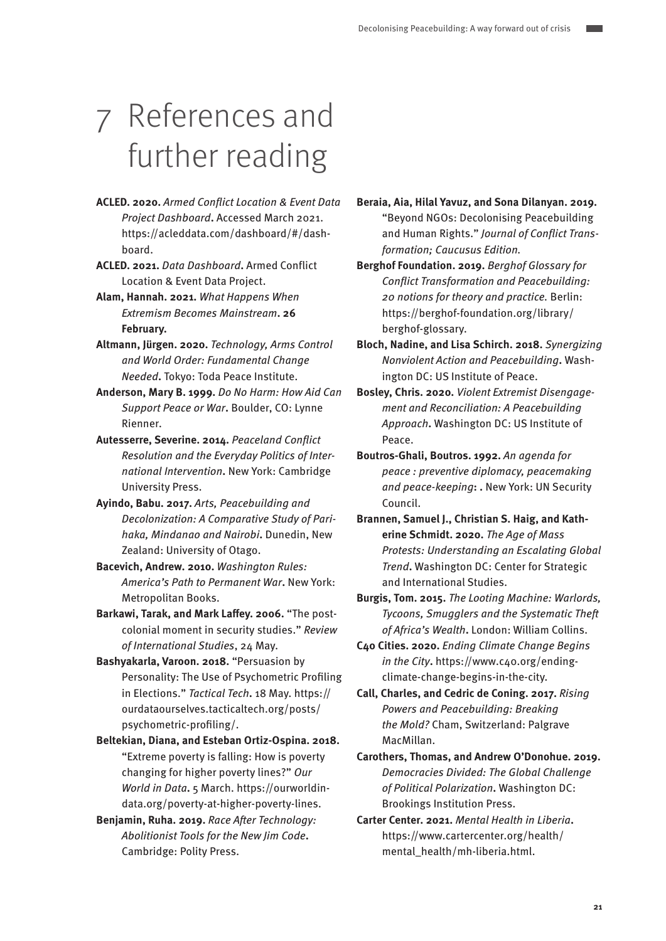# 7 References and further reading

- **ACLED. 2020.** Armed Conflict Location & Event Data Project Dashboard**.** Accessed March 2021. https://acleddata.com/dashboard/#/dashboard.
- **ACLED. 2021.** Data Dashboard**.** Armed Conflict Location & Event Data Project.
- **Alam, Hannah. 2021.** What Happens When Extremism Becomes Mainstream**. 26 February.**
- **Altmann, Jürgen. 2020.** Technology, Arms Control and World Order: Fundamental Change Needed**.** Tokyo: Toda Peace Institute.
- **Anderson, Mary B. 1999.** Do No Harm: How Aid Can Support Peace or War**.** Boulder, CO: Lynne Rienner.
- **Autesserre, Severine. 2014.** Peaceland Conflict Resolution and the Everyday Politics of International Intervention**.** New York: Cambridge University Press.
- **Ayindo, Babu. 2017.** Arts, Peacebuilding and Decolonization: A Comparative Study of Parihaka, Mindanao and Nairobi**.** Dunedin, New Zealand: University of Otago.
- **Bacevich, Andrew. 2010.** Washington Rules: America's Path to Permanent War**.** New York: Metropolitan Books.
- **Barkawi, Tarak, and Mark Laffey. 2006.** "The postcolonial moment in security studies." Review of International Studies, 24 May.
- **Bashyakarla, Varoon. 2018.** "Persuasion by Personality: The Use of Psychometric Profiling in Elections." Tactical Tech**.** 18 May. https:// ourdataourselves.tacticaltech.org/posts/ psychometric-profiling/.
- **Beltekian, Diana, and Esteban Ortiz-Ospina. 2018.**  "Extreme poverty is falling: How is poverty changing for higher poverty lines?" Our World in Data**.** 5 March. https://ourworldindata.org/poverty-at-higher-poverty-lines.
- **Benjamin, Ruha. 2019.** Race After Technology: Abolitionist Tools for the New Jim Code**.**  Cambridge: Polity Press.
- **Beraia, Aia, Hilal Yavuz, and Sona Dilanyan. 2019.**  "Beyond NGOs: Decolonising Peacebuilding and Human Rights." Journal of Conflict Transformation; Caucusus Edition.
- **Berghof Foundation. 2019.** Berghof Glossary for Conflict Transformation and Peacebuilding: 20 notions for theory and practice. Berlin: https://berghof-foundation.org/library/ berghof-glossary.
- **Bloch, Nadine, and Lisa Schirch. 2018.** Synergizing Nonviolent Action and Peacebuilding**.** Washington DC: US Institute of Peace.
- **Bosley, Chris. 2020.** Violent Extremist Disengagement and Reconciliation: A Peacebuilding Approach**.** Washington DC: US Institute of Peace.
- **Boutros-Ghali, Boutros. 1992.** An agenda for peace : preventive diplomacy, peacemaking and peace-keeping**: .** New York: UN Security Council.
- **Brannen, Samuel J., Christian S. Haig, and Katherine Schmidt. 2020.** The Age of Mass Protests: Understanding an Escalating Global Trend**.** Washington DC: Center for Strategic and International Studies.
- **Burgis, Tom. 2015.** The Looting Machine: Warlords, Tycoons, Smugglers and the Systematic Theft of Africa's Wealth**.** London: William Collins.
- **C40 Cities. 2020.** Ending Climate Change Begins in the City**.** https://www.c40.org/endingclimate-change-begins-in-the-city.
- **Call, Charles, and Cedric de Coning. 2017.** Rising Powers and Peacebuilding: Breaking the Mold? Cham, Switzerland: Palgrave MacMillan.
- **Carothers, Thomas, and Andrew O'Donohue. 2019.**  Democracies Divided: The Global Challenge of Political Polarization**.** Washington DC: Brookings Institution Press.
- **Carter Center. 2021.** Mental Health in Liberia**.**  https://www.cartercenter.org/health/ mental\_health/mh-liberia.html.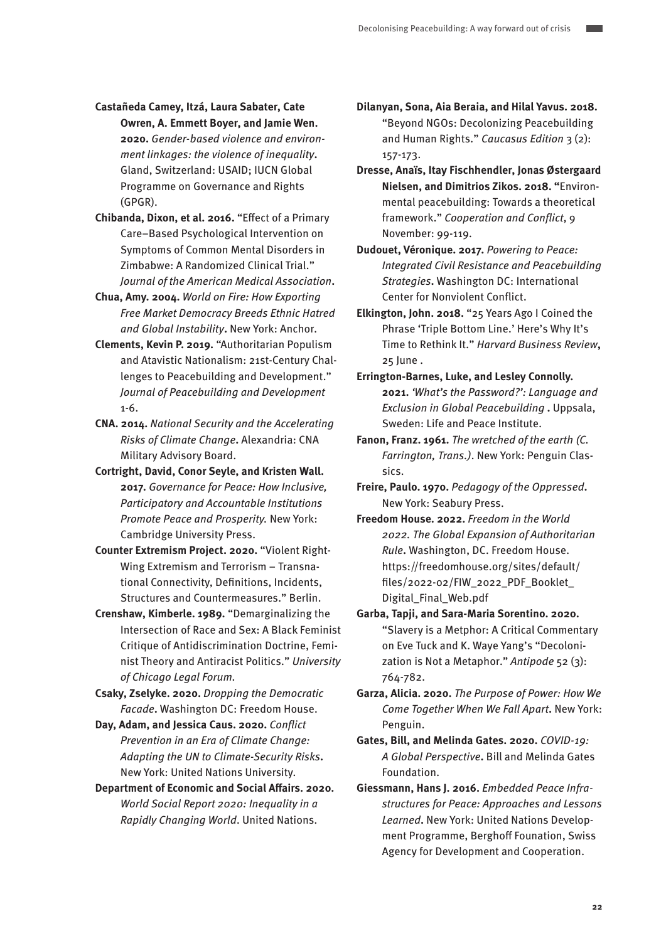- **Castañeda Camey, Itzá, Laura Sabater, Cate Owren, A. Emmett Boyer, and Jamie Wen. 2020.** Gender-based violence and environment linkages: the violence of inequality**.**  Gland, Switzerland: USAID; IUCN Global Programme on Governance and Rights (GPGR).
- **Chibanda, Dixon, et al. 2016.** "Effect of a Primary Care–Based Psychological Intervention on Symptoms of Common Mental Disorders in Zimbabwe: A Randomized Clinical Trial." Journal of the American Medical Association**.**
- **Chua, Amy. 2004.** World on Fire: How Exporting Free Market Democracy Breeds Ethnic Hatred and Global Instability**.** New York: Anchor.
- **Clements, Kevin P. 2019.** "Authoritarian Populism and Atavistic Nationalism: 21st-Century Challenges to Peacebuilding and Development." Journal of Peacebuilding and Development 1-6.
- **CNA. 2014.** National Security and the Accelerating Risks of Climate Change**.** Alexandria: CNA Military Advisory Board.
- **Cortright, David, Conor Seyle, and Kristen Wall. 2017.** Governance for Peace: How Inclusive, Participatory and Accountable Institutions Promote Peace and Prosperity. New York: Cambridge University Press.
- **Counter Extremism Project. 2020.** "Violent Right-Wing Extremism and Terrorism – Transnational Connectivity, Definitions, Incidents, Structures and Countermeasures." Berlin.
- **Crenshaw, Kimberle. 1989.** "Demarginalizing the Intersection of Race and Sex: A Black Feminist Critique of Antidiscrimination Doctrine, Feminist Theory and Antiracist Politics." University of Chicago Legal Forum.
- **Csaky, Zselyke. 2020.** Dropping the Democratic Facade**.** Washington DC: Freedom House.
- **Day, Adam, and Jessica Caus. 2020.** Conflict Prevention in an Era of Climate Change: Adapting the UN to Climate-Security Risks**.**  New York: United Nations University.
- **Department of Economic and Social Affairs. 2020.**  World Social Report 2020: Inequality in a Rapidly Changing World. United Nations.

**Dilanyan, Sona, Aia Beraia, and Hilal Yavus. 2018.**  "Beyond NGOs: Decolonizing Peacebuilding and Human Rights." Caucasus Edition 3 (2): 157-173.

- **Dresse, Anaïs, Itay Fischhendler, Jonas Østergaard Nielsen, and Dimitrios Zikos. 2018. "**Environmental peacebuilding: Towards a theoretical framework." Cooperation and Conflict, 9 November: 99-119.
- **Dudouet, Véronique. 2017.** Powering to Peace: Integrated Civil Resistance and Peacebuilding Strategies**.** Washington DC: International Center for Nonviolent Conflict.
- **Elkington, John. 2018.** "25 Years Ago I Coined the Phrase 'Triple Bottom Line.' Here's Why It's Time to Rethink It." Harvard Business Review**,**  25 June .
- **Errington-Barnes, Luke, and Lesley Connolly. 2021.** 'What's the Password?': Language and Exclusion in Global Peacebuilding **.** Uppsala, Sweden: Life and Peace Institute.
- **Fanon, Franz. 1961.** The wretched of the earth (C. Farrington, Trans.). New York: Penguin Classics.
- **Freire, Paulo. 1970.** Pedagogy of the Oppressed**.**  New York: Seabury Press.
- **Freedom House. 2022.** Freedom in the World 2022. The Global Expansion of Authoritarian Rule**.** Washington, DC. Freedom House. https://freedomhouse.org/sites/default/ files/2022-02/FIW\_2022\_PDF\_Booklet\_ Digital\_Final\_Web.pdf
- **Garba, Tapji, and Sara-Maria Sorentino. 2020.**  "Slavery is a Metphor: A Critical Commentary on Eve Tuck and K. Waye Yang's "Decolonization is Not a Metaphor." Antipode 52 (3): 764-782.
- **Garza, Alicia. 2020.** The Purpose of Power: How We Come Together When We Fall Apart**.** New York: Penguin.
- **Gates, Bill, and Melinda Gates. 2020.** COVID-19: A Global Perspective**.** Bill and Melinda Gates Foundation.
- **Giessmann, Hans J. 2016.** Embedded Peace Infrastructures for Peace: Approaches and Lessons Learned**.** New York: United Nations Development Programme, Berghoff Founation, Swiss Agency for Development and Cooperation.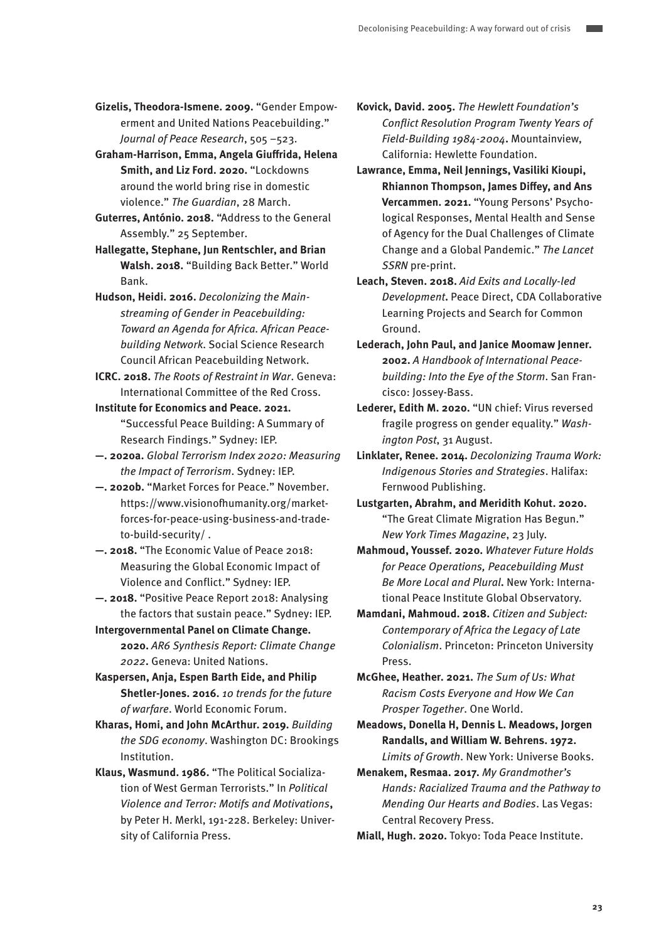**Gizelis, Theodora-Ismene. 2009.** "Gender Empowerment and United Nations Peacebuilding." Journal of Peace Research, 505 –523.

**Graham-Harrison, Emma, Angela Giuffrida, Helena Smith, and Liz Ford. 2020.** "Lockdowns around the world bring rise in domestic violence." The Guardian, 28 March.

**Guterres, António. 2018.** "Address to the General Assembly." 25 September.

**Hallegatte, Stephane, Jun Rentschler, and Brian Walsh. 2018.** "Building Back Better." World Bank.

**Hudson, Heidi. 2016.** Decolonizing the Mainstreaming of Gender in Peacebuilding: Toward an Agenda for Africa. African Peacebuilding Network. Social Science Research Council African Peacebuilding Network.

**ICRC. 2018.** The Roots of Restraint in War. Geneva: International Committee of the Red Cross.

**Institute for Economics and Peace. 2021.**  "Successful Peace Building: A Summary of Research Findings." Sydney: IEP.

**—. 2020a.** Global Terrorism Index 2020: Measuring the Impact of Terrorism. Sydney: IEP.

- **—. 2020b.** "Market Forces for Peace." November. https://www.visionofhumanity.org/marketforces-for-peace-using-business-and-tradeto-build-security/ .
- **—. 2018.** "The Economic Value of Peace 2018: Measuring the Global Economic Impact of Violence and Conflict." Sydney: IEP.
- **—. 2018.** "Positive Peace Report 2018: Analysing the factors that sustain peace." Sydney: IEP.

**Intergovernmental Panel on Climate Change. 2020.** AR6 Synthesis Report: Climate Change 2022**.** Geneva: United Nations.

**Kaspersen, Anja, Espen Barth Eide, and Philip Shetler-Jones. 2016.** 10 trends for the future of warfare. World Economic Forum.

**Kharas, Homi, and John McArthur. 2019.** Building the SDG economy. Washington DC: Brookings Institution.

**Klaus, Wasmund. 1986.** "The Political Socialization of West German Terrorists." In Political Violence and Terror: Motifs and Motivations**,**  by Peter H. Merkl, 191-228. Berkeley: University of California Press.

**Kovick, David. 2005.** The Hewlett Foundation's Conflict Resolution Program Twenty Years of Field-Building 1984-2004**.** Mountainview, California: Hewlette Foundation.

**Lawrance, Emma, Neil Jennings, Vasiliki Kioupi, Rhiannon Thompson, James Diffey, and Ans Vercammen. 2021.** "Young Persons' Psychological Responses, Mental Health and Sense of Agency for the Dual Challenges of Climate Change and a Global Pandemic." The Lancet SSRN pre-print.

**Leach, Steven. 2018.** Aid Exits and Locally-led Development**.** Peace Direct, CDA Collaborative Learning Projects and Search for Common Ground.

**Lederach, John Paul, and Janice Moomaw Jenner. 2002.** A Handbook of International Peacebuilding: Into the Eye of the Storm. San Francisco: Jossey-Bass.

**Lederer, Edith M. 2020.** "UN chief: Virus reversed fragile progress on gender equality." Washington Post, 31 August.

**Linklater, Renee. 2014.** Decolonizing Trauma Work: Indigenous Stories and Strategies. Halifax: Fernwood Publishing.

**Lustgarten, Abrahm, and Meridith Kohut. 2020.**  "The Great Climate Migration Has Begun." New York Times Magazine, 23 July.

**Mahmoud, Youssef. 2020.** Whatever Future Holds for Peace Operations, Peacebuilding Must Be More Local and Plural**.** New York: International Peace Institute Global Observatory.

**Mamdani, Mahmoud. 2018.** Citizen and Subject: Contemporary of Africa the Legacy of Late Colonialism. Princeton: Princeton University Press.

**McGhee, Heather. 2021.** The Sum of Us: What Racism Costs Everyone and How We Can Prosper Together. One World.

**Meadows, Donella H, Dennis L. Meadows, Jorgen Randalls, and William W. Behrens. 1972.**  Limits of Growth. New York: Universe Books.

**Menakem, Resmaa. 2017.** My Grandmother's Hands: Racialized Trauma and the Pathway to Mending Our Hearts and Bodies. Las Vegas: Central Recovery Press.

**Miall, Hugh. 2020.** Tokyo: Toda Peace Institute.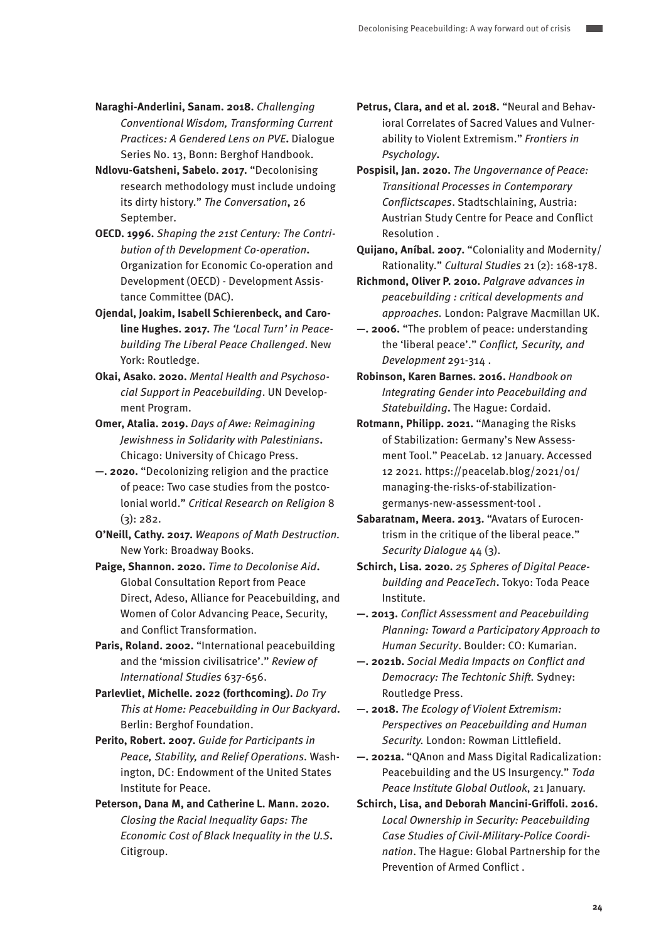- **Naraghi-Anderlini, Sanam. 2018.** Challenging Conventional Wisdom, Transforming Current Practices: A Gendered Lens on PVE**.** Dialogue Series No. 13, Bonn: Berghof Handbook.
- **Ndlovu-Gatsheni, Sabelo. 2017.** "Decolonising research methodology must include undoing its dirty history." The Conversation**,** 26 September.
- **OECD. 1996.** Shaping the 21st Century: The Contribution of th Development Co-operation**.**  Organization for Economic Co-operation and Development (OECD) - Development Assistance Committee (DAC).
- **Ojendal, Joakim, Isabell Schierenbeck, and Caroline Hughes. 2017.** The 'Local Turn' in Peacebuilding The Liberal Peace Challenged. New York: Routledge.
- **Okai, Asako. 2020.** Mental Health and Psychosocial Support in Peacebuilding. UN Development Program.
- **Omer, Atalia. 2019.** Days of Awe: Reimagining Jewishness in Solidarity with Palestinians**.**  Chicago: University of Chicago Press.
- **—. 2020.** "Decolonizing religion and the practice of peace: Two case studies from the postcolonial world." Critical Research on Religion 8  $(3)$ : 282.
- **O'Neill, Cathy. 2017.** Weapons of Math Destruction. New York: Broadway Books.
- **Paige, Shannon. 2020.** Time to Decolonise Aid**.**  Global Consultation Report from Peace Direct, Adeso, Alliance for Peacebuilding, and Women of Color Advancing Peace, Security, and Conflict Transformation.
- Paris, Roland. 2002. "International peacebuilding and the 'mission civilisatrice'." Review of International Studies 637-656.
- **Parlevliet, Michelle. 2022 (forthcoming).** Do Try This at Home: Peacebuilding in Our Backyard**.**  Berlin: Berghof Foundation.
- **Perito, Robert. 2007.** Guide for Participants in Peace, Stability, and Relief Operations. Washington, DC: Endowment of the United States Institute for Peace.
- **Peterson, Dana M, and Catherine L. Mann. 2020.**  Closing the Racial Inequality Gaps: The Economic Cost of Black Inequality in the U.S**.**  Citigroup.
- **Petrus, Clara, and et al. 2018.** "Neural and Behavioral Correlates of Sacred Values and Vulnerability to Violent Extremism." Frontiers in Psychology**.**
- **Pospisil, Jan. 2020.** The Ungovernance of Peace: Transitional Processes in Contemporary Conflictscapes. Stadtschlaining, Austria: Austrian Study Centre for Peace and Conflict Resolution .
- **Quijano, Aníbal. 2007.** "Coloniality and Modernity/ Rationality." Cultural Studies 21 (2): 168-178.
- **Richmond, Oliver P. 2010.** Palgrave advances in peacebuilding : critical developments and approaches. London: Palgrave Macmillan UK.
- **—. 2006.** "The problem of peace: understanding the 'liberal peace'." Conflict, Security, and Development 291-314 .
- **Robinson, Karen Barnes. 2016.** Handbook on Integrating Gender into Peacebuilding and Statebuilding**.** The Hague: Cordaid.
- **Rotmann, Philipp. 2021.** "Managing the Risks of Stabilization: Germany's New Assessment Tool." PeaceLab. 12 January. Accessed 12 2021. https://peacelab.blog/2021/01/ managing-the-risks-of-stabilizationgermanys-new-assessment-tool .
- **Sabaratnam, Meera. 2013.** "Avatars of Eurocentrism in the critique of the liberal peace." Security Dialogue 44 (3).
- **Schirch, Lisa. 2020.** 25 Spheres of Digital Peacebuilding and PeaceTech**.** Tokyo: Toda Peace Institute.
- **—. 2013.** Conflict Assessment and Peacebuilding Planning: Toward a Participatory Approach to Human Security. Boulder: CO: Kumarian.
- **—. 2021b.** Social Media Impacts on Conflict and Democracy: The Techtonic Shift. Sydney: Routledge Press.
- **—. 2018.** The Ecology of Violent Extremism: Perspectives on Peacebuilding and Human Security. London: Rowman Littlefield.
- **—. 2021a.** "QAnon and Mass Digital Radicalization: Peacebuilding and the US Insurgency." Toda Peace Institute Global Outlook, 21 January.
- **Schirch, Lisa, and Deborah Mancini-Griffoli. 2016.**  Local Ownership in Security: Peacebuilding Case Studies of Civil-Military-Police Coordination. The Hague: Global Partnership for the Prevention of Armed Conflict .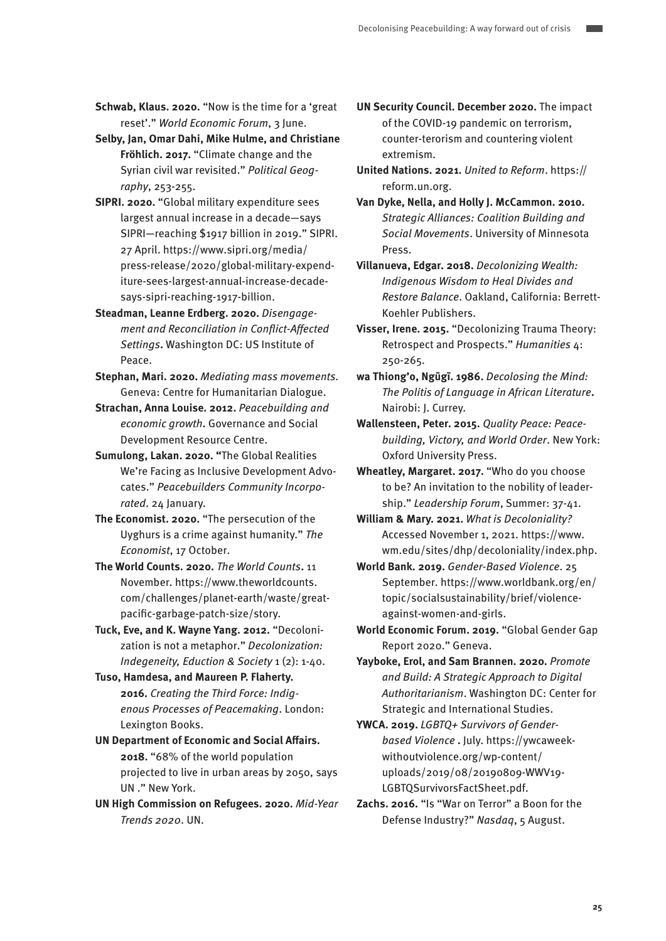**Schwab, Klaus. 2020.** "Now is the time for a 'great reset'." World Economic Forum, 3 June.

**Selby, Jan, Omar Dahi, Mike Hulme, and Christiane Fröhlich. 2017.** "Climate change and the Syrian civil war revisited." Political Geography, 253-255.

**SIPRI. 2020.** "Global military expenditure sees largest annual increase in a decade—says SIPRI—reaching \$1917 billion in 2019." SIPRI. 27 April. https://www.sipri.org/media/ press-release/2020/global-military-expenditure-sees-largest-annual-increase-decadesays-sipri-reaching-1917-billion.

**Steadman, Leanne Erdberg. 2020.** Disengagement and Reconciliation in Conflict-Affected Settings**.** Washington DC: US Institute of Peace.

**Stephan, Mari. 2020.** Mediating mass movements. Geneva: Centre for Humanitarian Dialogue.

**Strachan, Anna Louise. 2012.** Peacebuilding and economic growth**.** Governance and Social Development Resource Centre.

**Sumulong, Lakan. 2020. "**The Global Realities We're Facing as Inclusive Development Advocates." Peacebuilders Community Incorporated. 24 January.

**The Economist. 2020.** "The persecution of the Uyghurs is a crime against humanity." The Economist, 17 October.

**The World Counts. 2020.** The World Counts**.** 11 November. https://www.theworldcounts. com/challenges/planet-earth/waste/greatpacific-garbage-patch-size/story.

**Tuck, Eve, and K. Wayne Yang. 2012.** "Decolonization is not a metaphor." Decolonization: Indegeneity, Eduction & Society 1 (2): 1-40.

**Tuso, Hamdesa, and Maureen P. Flaherty. 2016.** Creating the Third Force: Indigenous Processes of Peacemaking. London: Lexington Books.

**UN Department of Economic and Social Affairs. 2018.** "68% of the world population projected to live in urban areas by 2050, says UN ." New York.

**UN High Commission on Refugees. 2020.** Mid-Year Trends 2020. UN.

**UN Security Council. December 2020.** The impact of the COVID-19 pandemic on terrorism, counter-terorism and countering violent extremism.

**United Nations. 2021.** United to Reform. https:// reform.un.org.

**Van Dyke, Nella, and Holly J. McCammon. 2010.**  Strategic Alliances: Coalition Building and Social Movements. University of Minnesota Press.

**Villanueva, Edgar. 2018.** Decolonizing Wealth: Indigenous Wisdom to Heal Divides and Restore Balance. Oakland, California: Berrett-Koehler Publishers.

**Visser, Irene. 2015.** "Decolonizing Trauma Theory: Retrospect and Prospects." Humanities 4: 250-265.

**wa Thiong'o, Ngũgĩ. 1986.** Decolosing the Mind: The Politis of Language in African Literature**.**  Nairobi: J. Currey.

**Wallensteen, Peter. 2015.** Quality Peace: Peacebuilding, Victory, and World Order. New York: Oxford University Press.

**Wheatley, Margaret. 2017.** "Who do you choose to be? An invitation to the nobility of leadership." Leadership Forum, Summer: 37-41.

**William & Mary. 2021.** What is Decoloniality? Accessed November 1, 2021. https://www. wm.edu/sites/dhp/decoloniality/index.php.

**World Bank. 2019.** Gender-Based Violence. 25 September. https://www.worldbank.org/en/ topic/socialsustainability/brief/violenceagainst-women-and-girls.

**World Economic Forum. 2019.** "Global Gender Gap Report 2020." Geneva.

**Yayboke, Erol, and Sam Brannen. 2020.** Promote and Build: A Strategic Approach to Digital Authoritarianism. Washington DC: Center for Strategic and International Studies.

**YWCA. 2019.** LGBTQ+ Survivors of Genderbased Violence **.** July. https://ywcaweekwithoutviolence.org/wp-content/ uploads/2019/08/20190809-WWV19- LGBTQSurvivorsFactSheet.pdf.

**Zachs. 2016.** "Is "War on Terror" a Boon for the Defense Industry?" Nasdaq, 5 August.